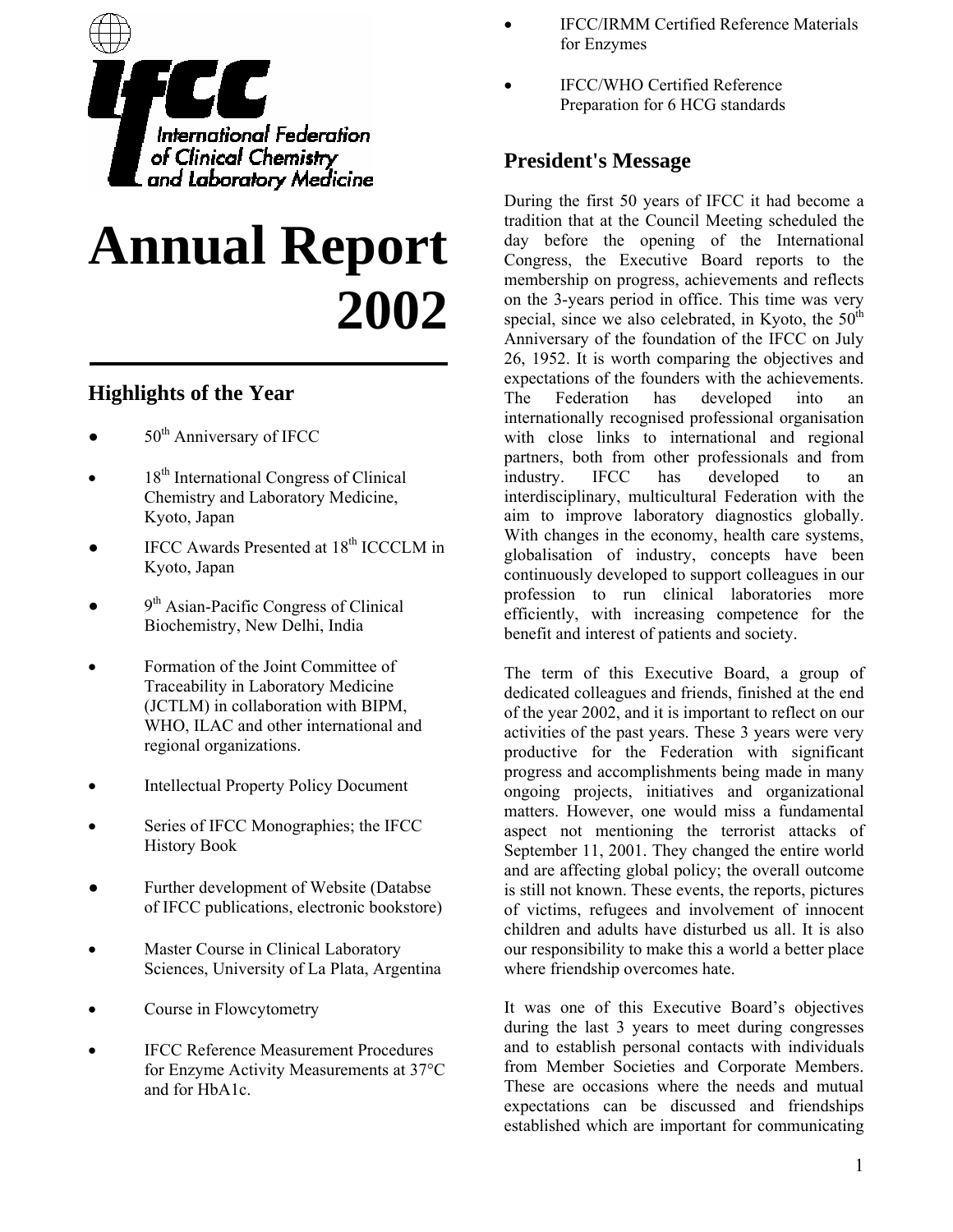

# **Annual Report 2002**

# **Highlights of the Year**

- $\bullet$  50<sup>th</sup> Anniversary of IFCC
- 18<sup>th</sup> International Congress of Clinical Chemistry and Laboratory Medicine, Kyoto, Japan
- IFCC Awards Presented at 18<sup>th</sup> ICCCLM in Kyoto, Japan
- 9<sup>th</sup> Asian-Pacific Congress of Clinical Biochemistry, New Delhi, India
- Formation of the Joint Committee of Traceability in Laboratory Medicine (JCTLM) in collaboration with BIPM, WHO, ILAC and other international and regional organizations.
- Intellectual Property Policy Document
- Series of IFCC Monographies; the IFCC History Book
- Further development of Website (Databse of IFCC publications, electronic bookstore)
- Master Course in Clinical Laboratory Sciences, University of La Plata, Argentina
- Course in Flowcytometry
- **IFCC Reference Measurement Procedures** for Enzyme Activity Measurements at 37°C and for HbA1c.
- IFCC/IRMM Certified Reference Materials for Enzymes
- IFCC/WHO Certified Reference Preparation for 6 HCG standards

# **President's Message**

During the first 50 years of IFCC it had become a tradition that at the Council Meeting scheduled the day before the opening of the International Congress, the Executive Board reports to the membership on progress, achievements and reflects on the 3-years period in office. This time was very special, since we also celebrated, in Kyoto, the  $50<sup>th</sup>$ Anniversary of the foundation of the IFCC on July 26, 1952. It is worth comparing the objectives and expectations of the founders with the achievements. The Federation has developed into an internationally recognised professional organisation with close links to international and regional partners, both from other professionals and from industry. IFCC has developed to an interdisciplinary, multicultural Federation with the aim to improve laboratory diagnostics globally. With changes in the economy, health care systems, globalisation of industry, concepts have been continuously developed to support colleagues in our profession to run clinical laboratories more efficiently, with increasing competence for the benefit and interest of patients and society.

The term of this Executive Board, a group of dedicated colleagues and friends, finished at the end of the year 2002, and it is important to reflect on our activities of the past years. These 3 years were very productive for the Federation with significant progress and accomplishments being made in many ongoing projects, initiatives and organizational matters. However, one would miss a fundamental aspect not mentioning the terrorist attacks of September 11, 2001. They changed the entire world and are affecting global policy; the overall outcome is still not known. These events, the reports, pictures of victims, refugees and involvement of innocent children and adults have disturbed us all. It is also our responsibility to make this a world a better place where friendship overcomes hate.

It was one of this Executive Board's objectives during the last 3 years to meet during congresses and to establish personal contacts with individuals from Member Societies and Corporate Members. These are occasions where the needs and mutual expectations can be discussed and friendships established which are important for communicating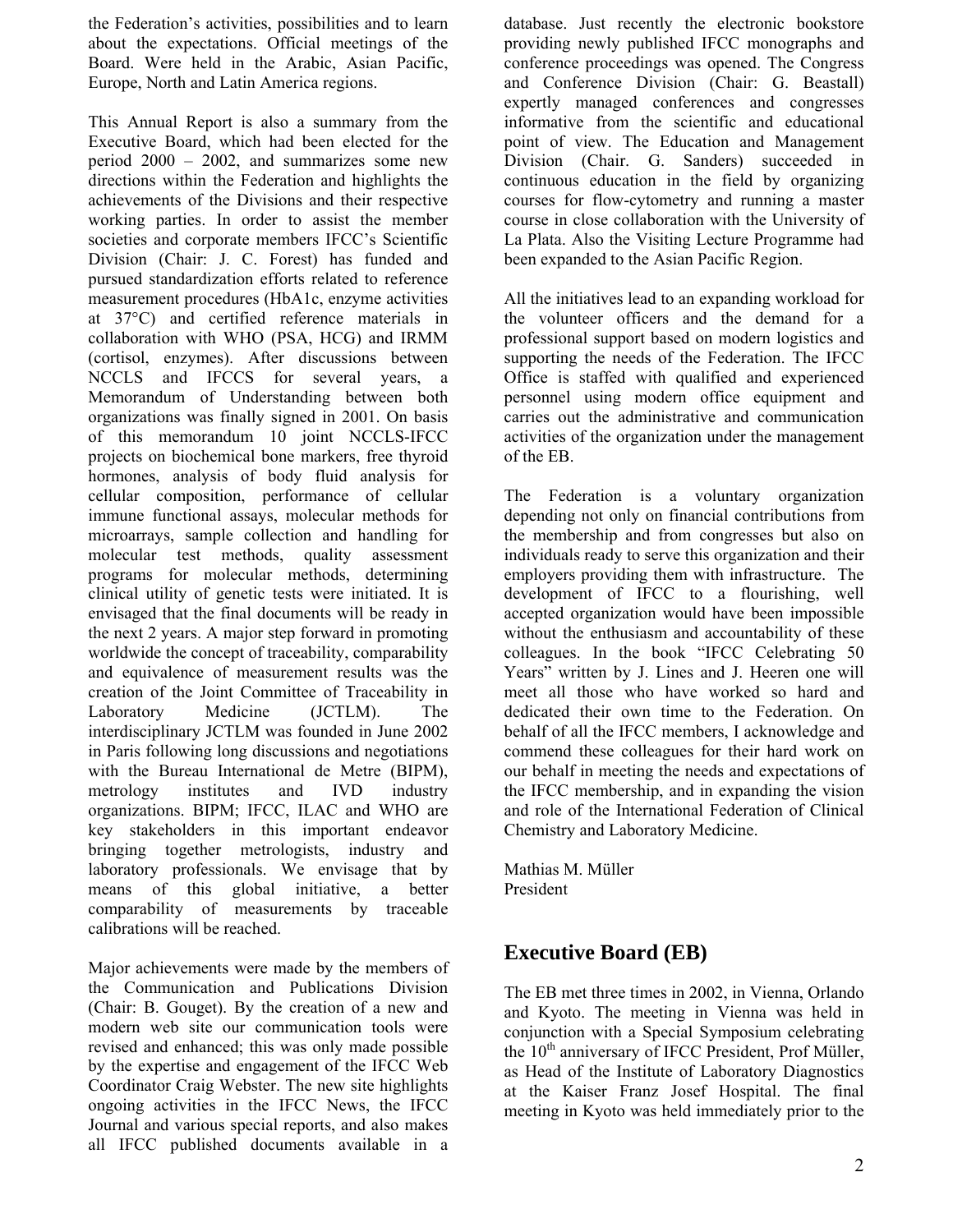the Federation's activities, possibilities and to learn about the expectations. Official meetings of the Board. Were held in the Arabic, Asian Pacific, Europe, North and Latin America regions.

This Annual Report is also a summary from the Executive Board, which had been elected for the period 2000 – 2002, and summarizes some new directions within the Federation and highlights the achievements of the Divisions and their respective working parties. In order to assist the member societies and corporate members IFCC's Scientific Division (Chair: J. C. Forest) has funded and pursued standardization efforts related to reference measurement procedures (HbA1c, enzyme activities at 37°C) and certified reference materials in collaboration with WHO (PSA, HCG) and IRMM (cortisol, enzymes). After discussions between NCCLS and IFCCS for several years, a Memorandum of Understanding between both organizations was finally signed in 2001. On basis of this memorandum 10 joint NCCLS-IFCC projects on biochemical bone markers, free thyroid hormones, analysis of body fluid analysis for cellular composition, performance of cellular immune functional assays, molecular methods for microarrays, sample collection and handling for molecular test methods, quality assessment programs for molecular methods, determining clinical utility of genetic tests were initiated. It is envisaged that the final documents will be ready in the next 2 years. A major step forward in promoting worldwide the concept of traceability, comparability and equivalence of measurement results was the creation of the Joint Committee of Traceability in Laboratory Medicine (JCTLM). The interdisciplinary JCTLM was founded in June 2002 in Paris following long discussions and negotiations with the Bureau International de Metre (BIPM), metrology institutes and IVD industry organizations. BIPM; IFCC, ILAC and WHO are key stakeholders in this important endeavor bringing together metrologists, industry and laboratory professionals. We envisage that by means of this global initiative, a better comparability of measurements by traceable calibrations will be reached.

Major achievements were made by the members of the Communication and Publications Division (Chair: B. Gouget). By the creation of a new and modern web site our communication tools were revised and enhanced; this was only made possible by the expertise and engagement of the IFCC Web Coordinator Craig Webster. The new site highlights ongoing activities in the IFCC News, the IFCC Journal and various special reports, and also makes all IFCC published documents available in a

database. Just recently the electronic bookstore providing newly published IFCC monographs and conference proceedings was opened. The Congress and Conference Division (Chair: G. Beastall) expertly managed conferences and congresses informative from the scientific and educational point of view. The Education and Management Division (Chair. G. Sanders) succeeded in continuous education in the field by organizing courses for flow-cytometry and running a master course in close collaboration with the University of La Plata. Also the Visiting Lecture Programme had been expanded to the Asian Pacific Region.

All the initiatives lead to an expanding workload for the volunteer officers and the demand for a professional support based on modern logistics and supporting the needs of the Federation. The IFCC Office is staffed with qualified and experienced personnel using modern office equipment and carries out the administrative and communication activities of the organization under the management of the EB.

The Federation is a voluntary organization depending not only on financial contributions from the membership and from congresses but also on individuals ready to serve this organization and their employers providing them with infrastructure. The development of IFCC to a flourishing, well accepted organization would have been impossible without the enthusiasm and accountability of these colleagues. In the book "IFCC Celebrating 50 Years" written by J. Lines and J. Heeren one will meet all those who have worked so hard and dedicated their own time to the Federation. On behalf of all the IFCC members, I acknowledge and commend these colleagues for their hard work on our behalf in meeting the needs and expectations of the IFCC membership, and in expanding the vision and role of the International Federation of Clinical Chemistry and Laboratory Medicine.

Mathias M. Müller President

# **Executive Board (EB)**

The EB met three times in 2002, in Vienna, Orlando and Kyoto. The meeting in Vienna was held in conjunction with a Special Symposium celebrating the  $10<sup>th</sup>$  anniversary of IFCC President, Prof Müller, as Head of the Institute of Laboratory Diagnostics at the Kaiser Franz Josef Hospital. The final meeting in Kyoto was held immediately prior to the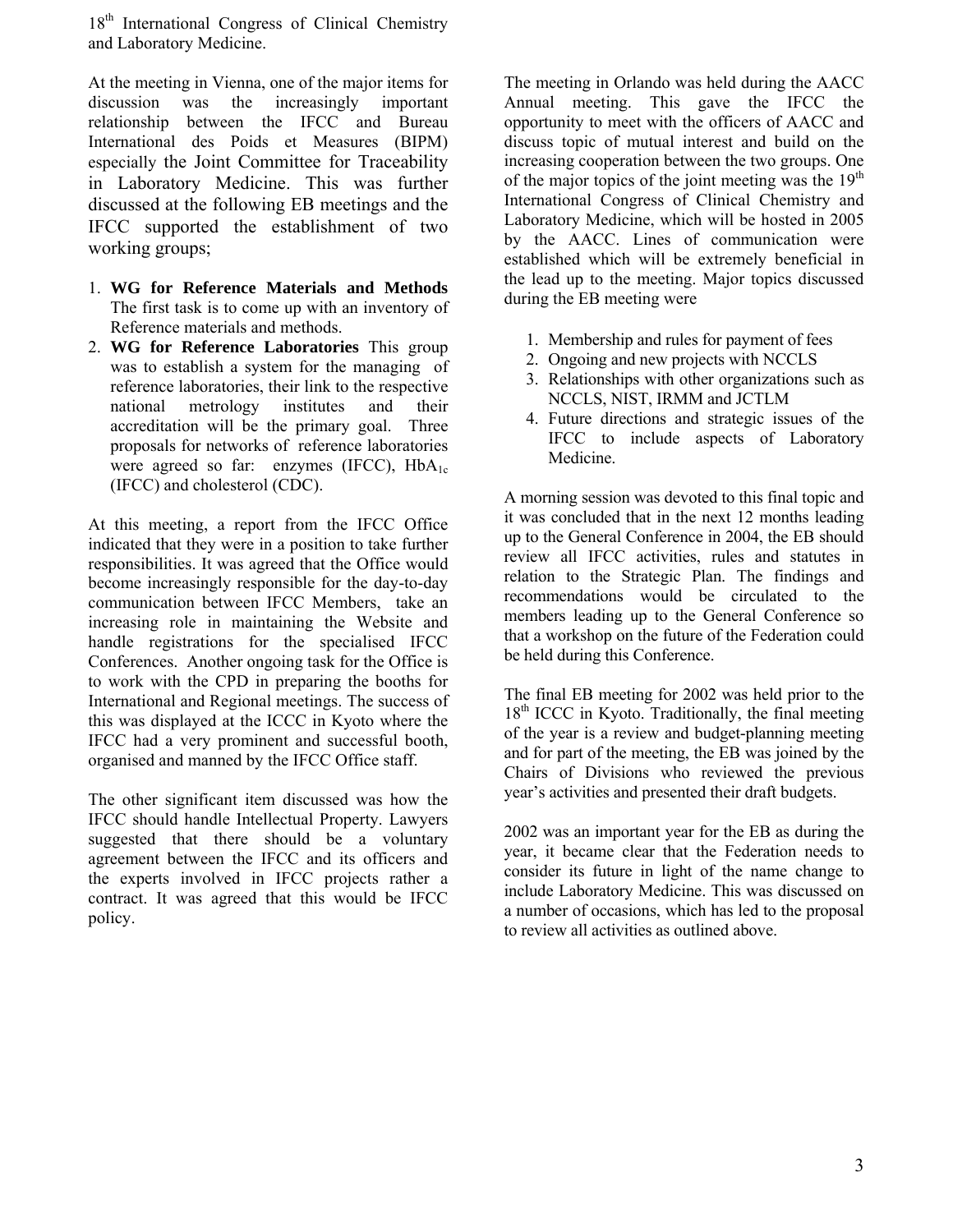18<sup>th</sup> International Congress of Clinical Chemistry and Laboratory Medicine.

At the meeting in Vienna, one of the major items for discussion was the increasingly important relationship between the IFCC and Bureau International des Poids et Measures (BIPM) especially the Joint Committee for Traceability in Laboratory Medicine. This was further discussed at the following EB meetings and the IFCC supported the establishment of two working groups;

- 1. **WG for Reference Materials and Methods** The first task is to come up with an inventory of Reference materials and methods.
- 2. **WG for Reference Laboratories** This group was to establish a system for the managing of reference laboratories, their link to the respective national metrology institutes and their accreditation will be the primary goal. Three proposals for networks of reference laboratories were agreed so far: enzymes (IFCC),  $HbA_{1c}$ (IFCC) and cholesterol (CDC).

At this meeting, a report from the IFCC Office indicated that they were in a position to take further responsibilities. It was agreed that the Office would become increasingly responsible for the day-to-day communication between IFCC Members, take an increasing role in maintaining the Website and handle registrations for the specialised IFCC Conferences. Another ongoing task for the Office is to work with the CPD in preparing the booths for International and Regional meetings. The success of this was displayed at the ICCC in Kyoto where the IFCC had a very prominent and successful booth, organised and manned by the IFCC Office staff.

The other significant item discussed was how the IFCC should handle Intellectual Property. Lawyers suggested that there should be a voluntary agreement between the IFCC and its officers and the experts involved in IFCC projects rather a contract. It was agreed that this would be IFCC policy.

The meeting in Orlando was held during the AACC Annual meeting. This gave the IFCC the opportunity to meet with the officers of AACC and discuss topic of mutual interest and build on the increasing cooperation between the two groups. One of the major topics of the joint meeting was the  $19<sup>th</sup>$ International Congress of Clinical Chemistry and Laboratory Medicine, which will be hosted in 2005 by the AACC. Lines of communication were established which will be extremely beneficial in the lead up to the meeting. Major topics discussed during the EB meeting were

- 1. Membership and rules for payment of fees
- 2. Ongoing and new projects with NCCLS
- 3. Relationships with other organizations such as NCCLS, NIST, IRMM and JCTLM
- 4. Future directions and strategic issues of the IFCC to include aspects of Laboratory Medicine.

A morning session was devoted to this final topic and it was concluded that in the next 12 months leading up to the General Conference in 2004, the EB should review all IFCC activities, rules and statutes in relation to the Strategic Plan. The findings and recommendations would be circulated to the members leading up to the General Conference so that a workshop on the future of the Federation could be held during this Conference.

The final EB meeting for 2002 was held prior to the  $18<sup>th</sup>$  ICCC in Kyoto. Traditionally, the final meeting of the year is a review and budget-planning meeting and for part of the meeting, the EB was joined by the Chairs of Divisions who reviewed the previous year's activities and presented their draft budgets.

2002 was an important year for the EB as during the year, it became clear that the Federation needs to consider its future in light of the name change to include Laboratory Medicine. This was discussed on a number of occasions, which has led to the proposal to review all activities as outlined above.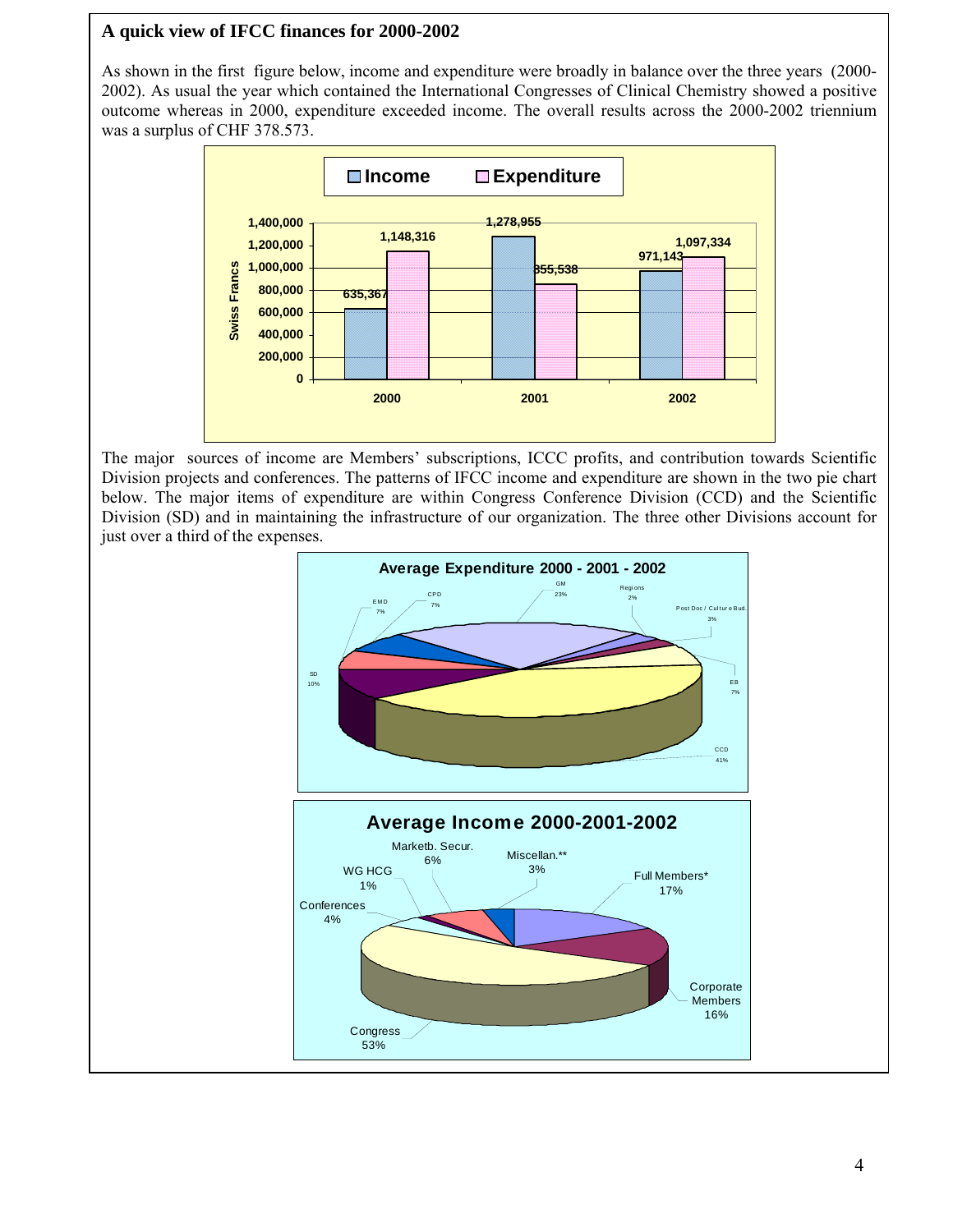## **A quick view of IFCC finances for 2000-2002**

As shown in the first figure below, income and expenditure were broadly in balance over the three years (2000- 2002). As usual the year which contained the International Congresses of Clinical Chemistry showed a positive outcome whereas in 2000, expenditure exceeded income. The overall results across the 2000-2002 triennium was a surplus of CHF 378.573.



The major sources of income are Members' subscriptions, ICCC profits, and contribution towards Scientific Division projects and conferences. The patterns of IFCC income and expenditure are shown in the two pie chart below. The major items of expenditure are within Congress Conference Division (CCD) and the Scientific Division (SD) and in maintaining the infrastructure of our organization. The three other Divisions account for just over a third of the expenses.

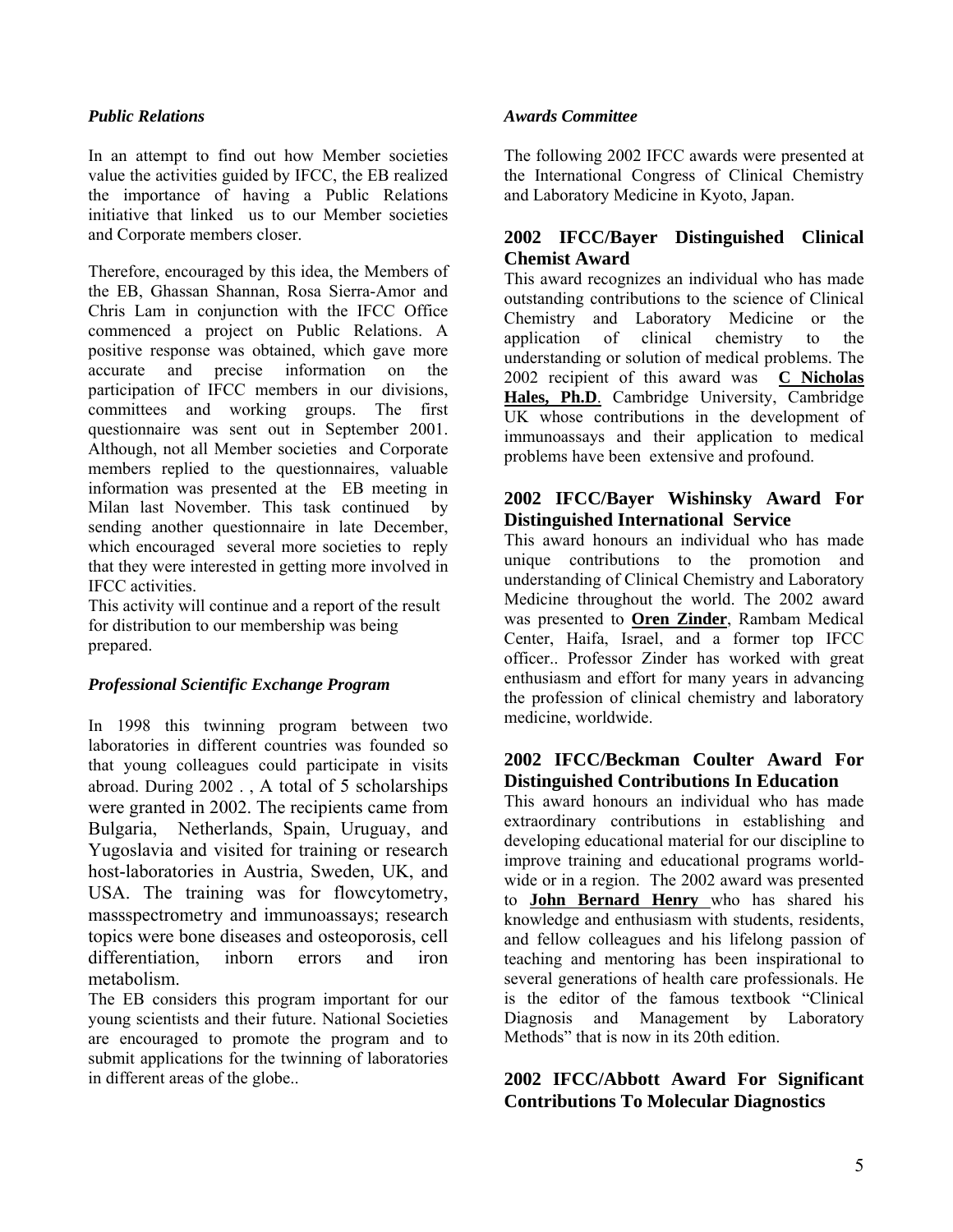## *Public Relations*

In an attempt to find out how Member societies value the activities guided by IFCC, the EB realized the importance of having a Public Relations initiative that linked us to our Member societies and Corporate members closer.

Therefore, encouraged by this idea, the Members of the EB, Ghassan Shannan, Rosa Sierra-Amor and Chris Lam in conjunction with the IFCC Office commenced a project on Public Relations. A positive response was obtained, which gave more accurate and precise information on the participation of IFCC members in our divisions, committees and working groups. The first questionnaire was sent out in September 2001. Although, not all Member societies and Corporate members replied to the questionnaires, valuable information was presented at the EB meeting in Milan last November. This task continued by sending another questionnaire in late December, which encouraged several more societies to reply that they were interested in getting more involved in IFCC activities.

This activity will continue and a report of the result for distribution to our membership was being prepared.

#### *Professional Scientific Exchange Program*

In 1998 this twinning program between two laboratories in different countries was founded so that young colleagues could participate in visits abroad. During 2002 . , A total of 5 scholarships were granted in 2002. The recipients came from Bulgaria, Netherlands, Spain, Uruguay, and Yugoslavia and visited for training or research host-laboratories in Austria, Sweden, UK, and USA. The training was for flowcytometry, massspectrometry and immunoassays; research topics were bone diseases and osteoporosis, cell differentiation, inborn errors and iron metabolism.

The EB considers this program important for our young scientists and their future. National Societies are encouraged to promote the program and to submit applications for the twinning of laboratories in different areas of the globe..

#### *Awards Committee*

The following 2002 IFCC awards were presented at the International Congress of Clinical Chemistry and Laboratory Medicine in Kyoto, Japan.

## **2002 IFCC/Bayer Distinguished Clinical Chemist Award**

This award recognizes an individual who has made outstanding contributions to the science of Clinical Chemistry and Laboratory Medicine or the application of clinical chemistry to the understanding or solution of medical problems. The 2002 recipient of this award was **C Nicholas Hales, Ph.D**. Cambridge University, Cambridge UK whose contributions in the development of immunoassays and their application to medical problems have been extensive and profound.

## **2002 IFCC/Bayer Wishinsky Award For Distinguished International Service**

This award honours an individual who has made unique contributions to the promotion and understanding of Clinical Chemistry and Laboratory Medicine throughout the world. The 2002 award was presented to **Oren Zinder**, Rambam Medical Center, Haifa, Israel, and a former top IFCC officer.. Professor Zinder has worked with great enthusiasm and effort for many years in advancing the profession of clinical chemistry and laboratory medicine, worldwide.

## **2002 IFCC/Beckman Coulter Award For Distinguished Contributions In Education**

This award honours an individual who has made extraordinary contributions in establishing and developing educational material for our discipline to improve training and educational programs worldwide or in a region. The 2002 award was presented to **John Bernard Henry** who has shared his knowledge and enthusiasm with students, residents, and fellow colleagues and his lifelong passion of teaching and mentoring has been inspirational to several generations of health care professionals. He is the editor of the famous textbook "Clinical Diagnosis and Management by Laboratory Methods" that is now in its 20th edition.

## **2002 IFCC/Abbott Award For Significant Contributions To Molecular Diagnostics**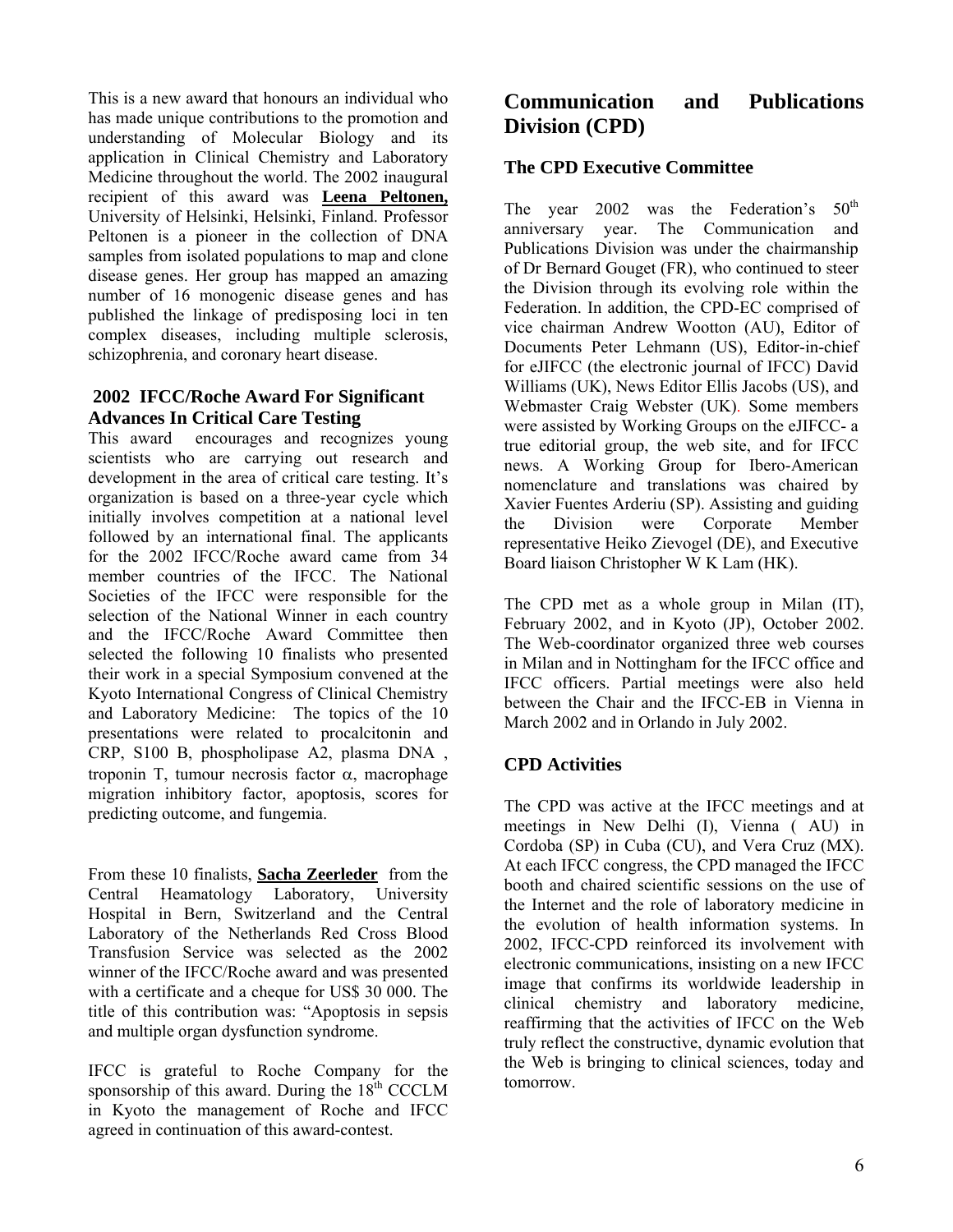This is a new award that honours an individual who has made unique contributions to the promotion and understanding of Molecular Biology and its application in Clinical Chemistry and Laboratory Medicine throughout the world. The 2002 inaugural recipient of this award was **Leena Peltonen,** University of Helsinki, Helsinki, Finland. Professor Peltonen is a pioneer in the collection of DNA samples from isolated populations to map and clone disease genes. Her group has mapped an amazing number of 16 monogenic disease genes and has published the linkage of predisposing loci in ten complex diseases, including multiple sclerosis, schizophrenia, and coronary heart disease.

# **2002 IFCC/Roche Award For Significant Advances In Critical Care Testing**

This award encourages and recognizes young scientists who are carrying out research and development in the area of critical care testing. It's organization is based on a three-year cycle which initially involves competition at a national level followed by an international final. The applicants for the 2002 IFCC/Roche award came from 34 member countries of the IFCC. The National Societies of the IFCC were responsible for the selection of the National Winner in each country and the IFCC/Roche Award Committee then selected the following 10 finalists who presented their work in a special Symposium convened at the Kyoto International Congress of Clinical Chemistry and Laboratory Medicine: The topics of the 10 presentations were related to procalcitonin and CRP, S100 B, phospholipase A2, plasma DNA , troponin T, tumour necrosis factor α, macrophage migration inhibitory factor, apoptosis, scores for predicting outcome, and fungemia.

From these 10 finalists, **Sacha Zeerleder** from the Central Heamatology Laboratory, University Hospital in Bern, Switzerland and the Central Laboratory of the Netherlands Red Cross Blood Transfusion Service was selected as the 2002 winner of the IFCC/Roche award and was presented with a certificate and a cheque for US\$ 30 000. The title of this contribution was: "Apoptosis in sepsis and multiple organ dysfunction syndrome.

IFCC is grateful to Roche Company for the sponsorship of this award. During the  $18<sup>th</sup>$  CCCLM in Kyoto the management of Roche and IFCC agreed in continuation of this award-contest.

# **Communication and Publications Division (CPD)**

# **The CPD Executive Committee**

The year  $2002$  was the Federation's  $50<sup>th</sup>$ anniversary year. The Communication and Publications Division was under the chairmanship of Dr Bernard Gouget (FR), who continued to steer the Division through its evolving role within the Federation. In addition, the CPD-EC comprised of vice chairman Andrew Wootton (AU), Editor of Documents Peter Lehmann (US), Editor-in-chief for eJIFCC (the electronic journal of IFCC) David Williams (UK), News Editor Ellis Jacobs (US), and Webmaster Craig Webster (UK). Some members were assisted by Working Groups on the eJIFCC- a true editorial group, the web site, and for IFCC news. A Working Group for Ibero-American nomenclature and translations was chaired by Xavier Fuentes Arderiu (SP). Assisting and guiding the Division were Corporate Member representative Heiko Zievogel (DE), and Executive Board liaison Christopher W K Lam (HK).

The CPD met as a whole group in Milan (IT), February 2002, and in Kyoto (JP), October 2002. The Web-coordinator organized three web courses in Milan and in Nottingham for the IFCC office and IFCC officers. Partial meetings were also held between the Chair and the IFCC-EB in Vienna in March 2002 and in Orlando in July 2002.

# **CPD Activities**

The CPD was active at the IFCC meetings and at meetings in New Delhi (I), Vienna ( AU) in Cordoba (SP) in Cuba (CU), and Vera Cruz (MX). At each IFCC congress, the CPD managed the IFCC booth and chaired scientific sessions on the use of the Internet and the role of laboratory medicine in the evolution of health information systems. In 2002, IFCC-CPD reinforced its involvement with electronic communications, insisting on a new IFCC image that confirms its worldwide leadership in clinical chemistry and laboratory medicine, reaffirming that the activities of IFCC on the Web truly reflect the constructive, dynamic evolution that the Web is bringing to clinical sciences, today and tomorrow.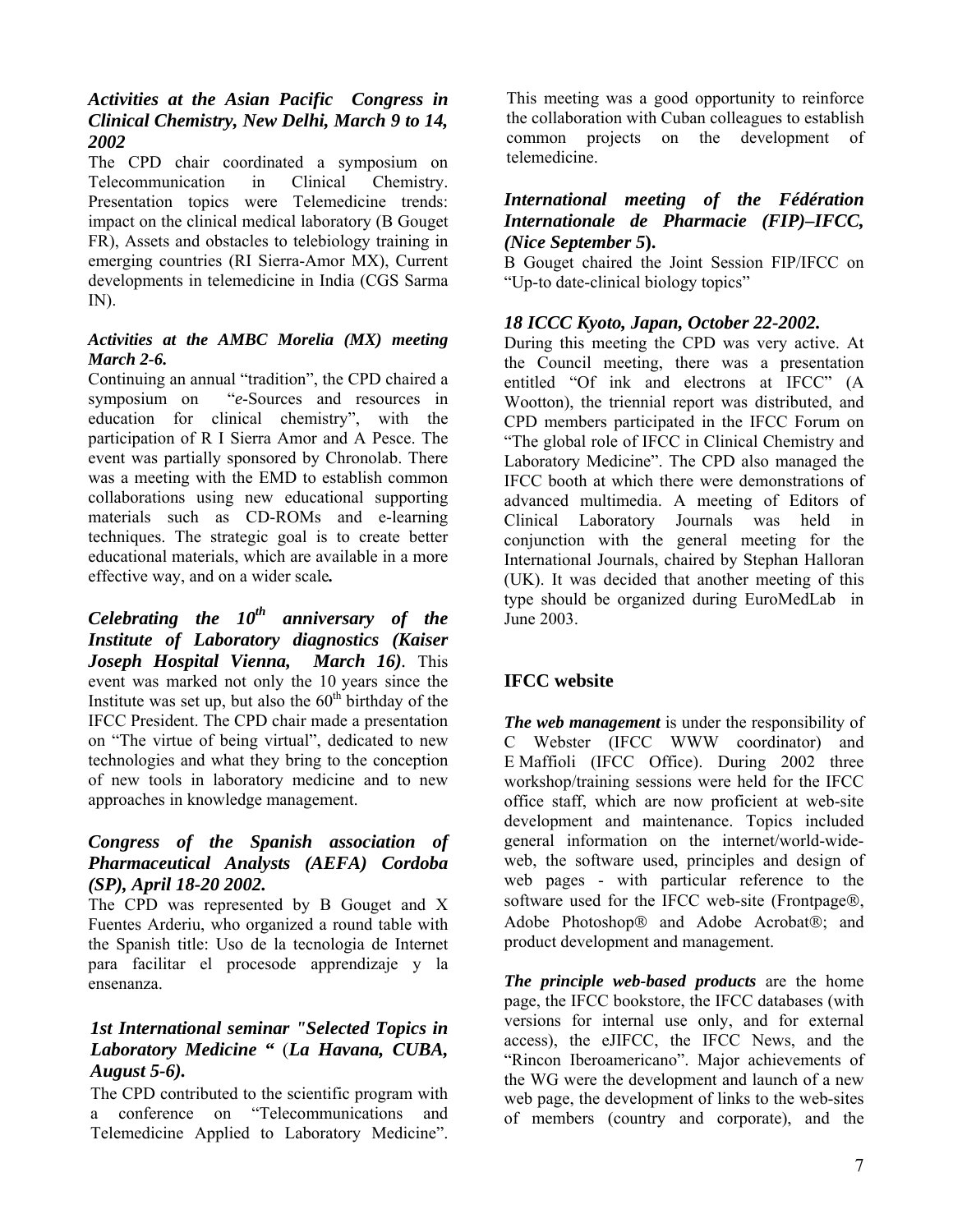# *Activities at the Asian Pacific Congress in Clinical Chemistry, New Delhi, March 9 to 14, 2002*

The CPD chair coordinated a symposium on Telecommunication in Clinical Chemistry. Presentation topics were Telemedicine trends: impact on the clinical medical laboratory (B Gouget FR), Assets and obstacles to telebiology training in emerging countries (RI Sierra-Amor MX), Current developments in telemedicine in India (CGS Sarma IN).

## *Activities at the AMBC Morelia (MX) meeting March 2-6.*

Continuing an annual "tradition", the CPD chaired a symposium on "*e*-Sources and resources in education for clinical chemistry", with the participation of R I Sierra Amor and A Pesce. The event was partially sponsored by Chronolab. There was a meeting with the EMD to establish common collaborations using new educational supporting materials such as CD-ROMs and e-learning techniques. The strategic goal is to create better educational materials, which are available in a more effective way, and on a wider scale*.*

*Celebrating the*  $10^{th}$  *anniversary of the Institute of Laboratory diagnostics (Kaiser Joseph Hospital Vienna, March 16).* This event was marked not only the 10 years since the Institute was set up, but also the  $60<sup>th</sup>$  birthday of the IFCC President. The CPD chair made a presentation on "The virtue of being virtual", dedicated to new technologies and what they bring to the conception of new tools in laboratory medicine and to new approaches in knowledge management.

## *Congress of the Spanish association of Pharmaceutical Analysts (AEFA) Cordoba (SP), April 18-20 2002.*

The CPD was represented by B Gouget and X Fuentes Arderiu, who organized a round table with the Spanish title: Uso de la tecnologia de Internet para facilitar el procesode apprendizaje y la ensenanza.

# *1st International seminar "Selected Topics in Laboratory Medicine* **"** (*La Havana, CUBA, August 5-6).*

The CPD contributed to the scientific program with a conference on "Telecommunications and Telemedicine Applied to Laboratory Medicine".

This meeting was a good opportunity to reinforce the collaboration with Cuban colleagues to establish common projects on the development of telemedicine.

## *International meeting of the Fédération Internationale de Pharmacie (FIP)–IFCC, (Nice September 5***).**

B Gouget chaired the Joint Session FIP/IFCC on "Up-to date-clinical biology topics"

# *18 ICCC Kyoto, Japan, October 22-2002.*

During this meeting the CPD was very active. At the Council meeting, there was a presentation entitled "Of ink and electrons at IFCC" (A Wootton), the triennial report was distributed, and CPD members participated in the IFCC Forum on "The global role of IFCC in Clinical Chemistry and Laboratory Medicine". The CPD also managed the IFCC booth at which there were demonstrations of advanced multimedia. A meeting of Editors of Clinical Laboratory Journals was held in conjunction with the general meeting for the International Journals, chaired by Stephan Halloran (UK). It was decided that another meeting of this type should be organized during EuroMedLab in June 2003.

# **IFCC website**

*The web management* is under the responsibility of C Webster (IFCC WWW coordinator) and E Maffioli (IFCC Office). During 2002 three workshop/training sessions were held for the IFCC office staff, which are now proficient at web-site development and maintenance. Topics included general information on the internet/world-wideweb, the software used, principles and design of web pages - with particular reference to the software used for the IFCC web-site (Frontpage®, Adobe Photoshop® and Adobe Acrobat®; and product development and management.

*The principle web-based products* are the home page, the IFCC bookstore, the IFCC databases (with versions for internal use only, and for external access), the eJIFCC, the IFCC News, and the "Rincon Iberoamericano". Major achievements of the WG were the development and launch of a new web page, the development of links to the web-sites of members (country and corporate), and the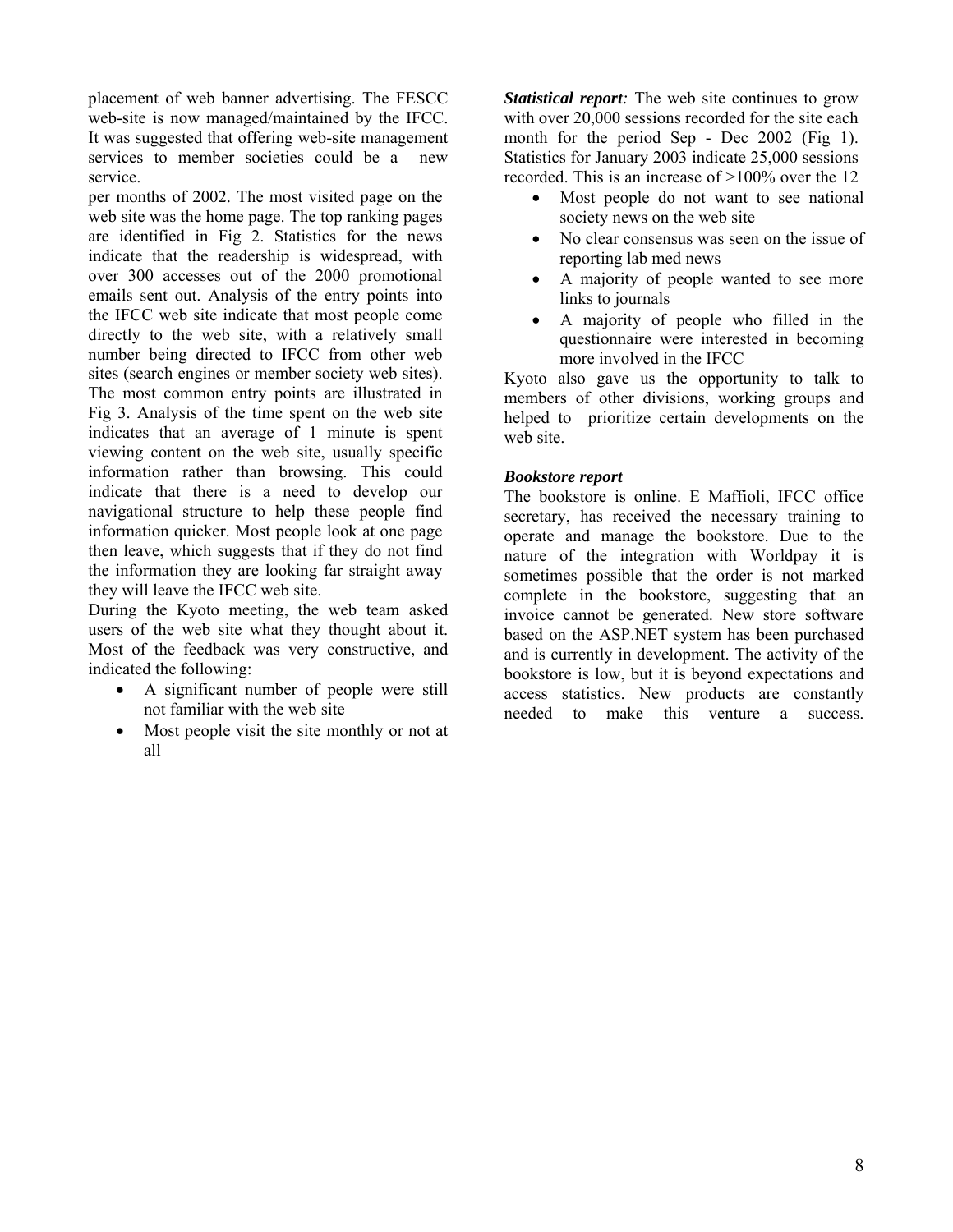placement of web banner advertising. The FESCC web-site is now managed/maintained by the IFCC. It was suggested that offering web-site management services to member societies could be a new service.

per months of 2002. The most visited page on the web site was the home page. The top ranking pages are identified in Fig 2. Statistics for the news indicate that the readership is widespread, with over 300 accesses out of the 2000 promotional emails sent out. Analysis of the entry points into the IFCC web site indicate that most people come directly to the web site, with a relatively small number being directed to IFCC from other web sites (search engines or member society web sites). The most common entry points are illustrated in Fig 3. Analysis of the time spent on the web site indicates that an average of 1 minute is spent viewing content on the web site, usually specific information rather than browsing. This could indicate that there is a need to develop our navigational structure to help these people find information quicker. Most people look at one page then leave, which suggests that if they do not find the information they are looking far straight away they will leave the IFCC web site.

During the Kyoto meeting, the web team asked users of the web site what they thought about it. Most of the feedback was very constructive, and indicated the following:

- A significant number of people were still not familiar with the web site
- Most people visit the site monthly or not at all

*Statistical report:* The web site continues to grow with over 20,000 sessions recorded for the site each month for the period Sep - Dec 2002 (Fig 1). Statistics for January 2003 indicate 25,000 sessions recorded. This is an increase of >100% over the 12

- Most people do not want to see national society news on the web site
- No clear consensus was seen on the issue of reporting lab med news
- A majority of people wanted to see more links to journals
- A majority of people who filled in the questionnaire were interested in becoming more involved in the IFCC

Kyoto also gave us the opportunity to talk to members of other divisions, working groups and helped to prioritize certain developments on the web site.

## *Bookstore report*

The bookstore is online. E Maffioli, IFCC office secretary, has received the necessary training to operate and manage the bookstore. Due to the nature of the integration with Worldpay it is sometimes possible that the order is not marked complete in the bookstore, suggesting that an invoice cannot be generated. New store software based on the ASP.NET system has been purchased and is currently in development. The activity of the bookstore is low, but it is beyond expectations and access statistics. New products are constantly needed to make this venture a success.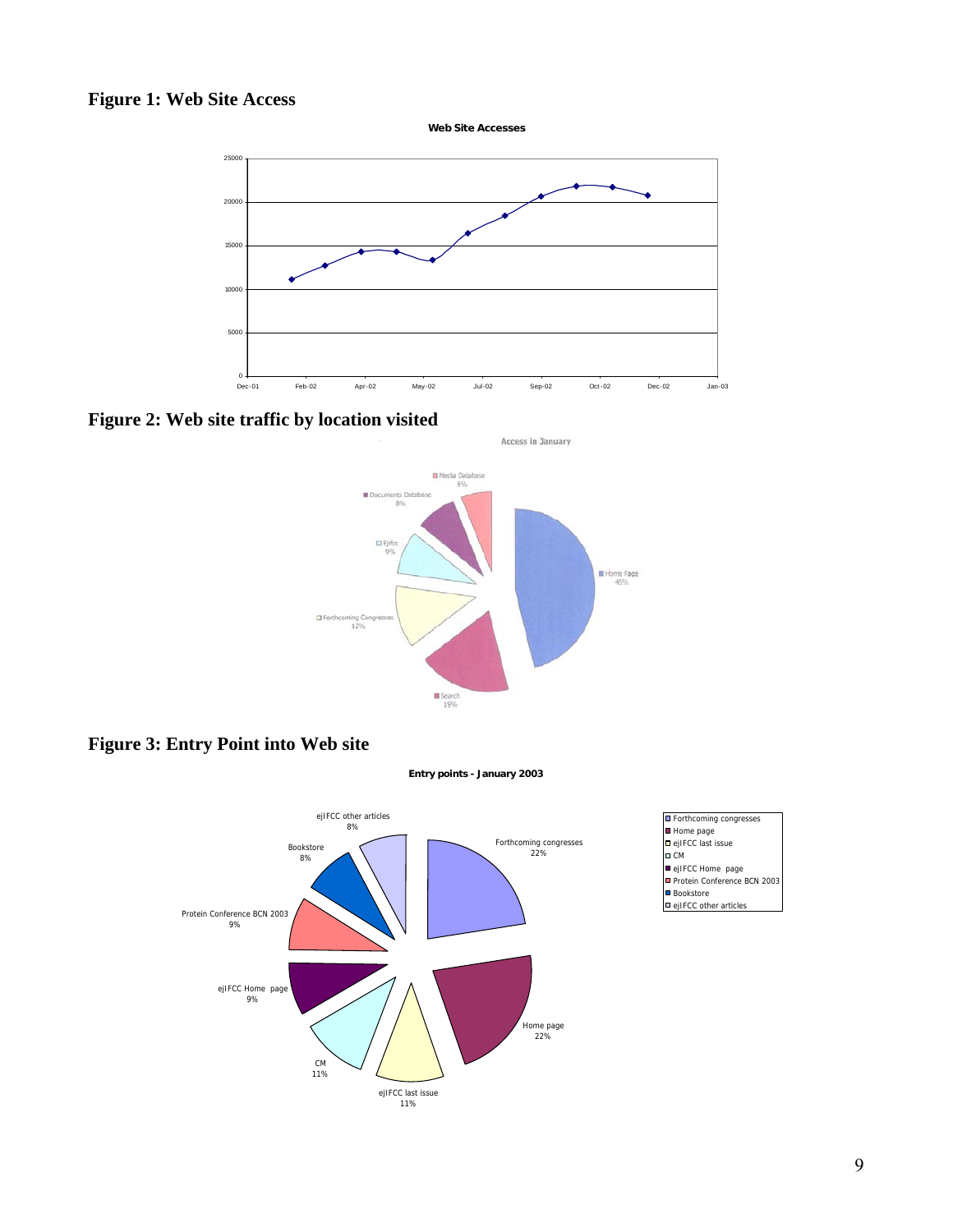# **Figure 1: Web Site Access**



**Figure 2: Web site traffic by location visited** 



Access in January

**Figure 3: Entry Point into Web site** 





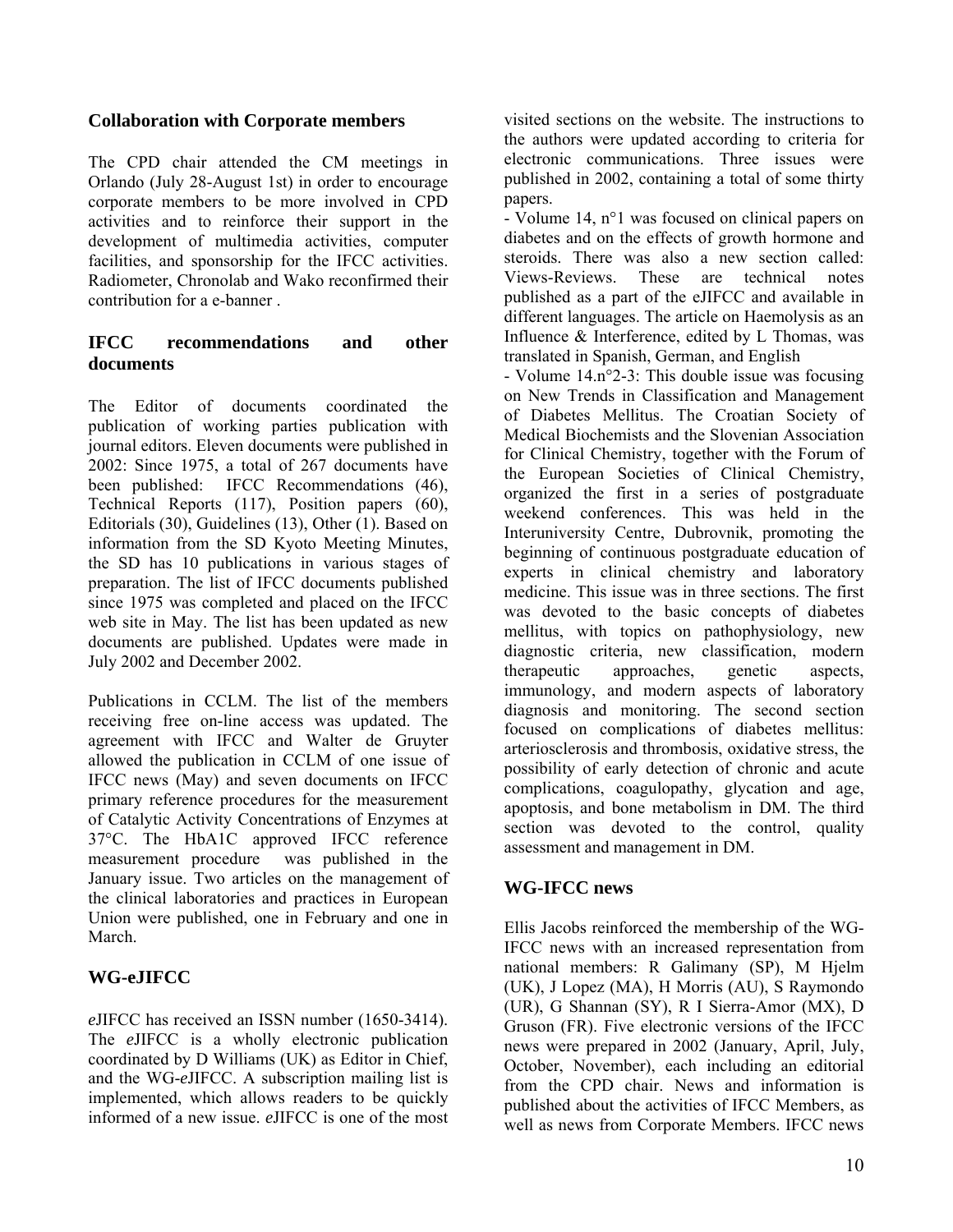# **Collaboration with Corporate members**

The CPD chair attended the CM meetings in Orlando (July 28-August 1st) in order to encourage corporate members to be more involved in CPD activities and to reinforce their support in the development of multimedia activities, computer facilities, and sponsorship for the IFCC activities. Radiometer, Chronolab and Wako reconfirmed their contribution for a e-banner .

# **IFCC recommendations and other documents**

The Editor of documents coordinated the publication of working parties publication with journal editors. Eleven documents were published in 2002: Since 1975, a total of 267 documents have been published: IFCC Recommendations (46), Technical Reports (117), Position papers (60), Editorials (30), Guidelines (13), Other (1). Based on information from the SD Kyoto Meeting Minutes, the SD has 10 publications in various stages of preparation. The list of IFCC documents published since 1975 was completed and placed on the IFCC web site in May. The list has been updated as new documents are published. Updates were made in July 2002 and December 2002.

Publications in CCLM. The list of the members receiving free on-line access was updated. The agreement with IFCC and Walter de Gruyter allowed the publication in CCLM of one issue of IFCC news (May) and seven documents on IFCC primary reference procedures for the measurement of Catalytic Activity Concentrations of Enzymes at 37°C. The HbA1C approved IFCC reference measurement procedure was published in the January issue. Two articles on the management of the clinical laboratories and practices in European Union were published, one in February and one in March.

# **WG-eJIFCC**

*e*JIFCC has received an ISSN number (1650-3414). The *e*JIFCC is a wholly electronic publication coordinated by D Williams (UK) as Editor in Chief, and the WG-*e*JIFCC. A subscription mailing list is implemented, which allows readers to be quickly informed of a new issue. *e*JIFCC is one of the most

visited sections on the website. The instructions to the authors were updated according to criteria for electronic communications. Three issues were published in 2002, containing a total of some thirty papers.

- Volume 14, n°1 was focused on clinical papers on diabetes and on the effects of growth hormone and steroids. There was also a new section called: Views-Reviews. These are technical notes published as a part of the eJIFCC and available in different languages. The article on Haemolysis as an Influence & Interference, edited by L Thomas, was translated in Spanish, German, and English

- Volume 14.n°2-3: This double issue was focusing on New Trends in Classification and Management of Diabetes Mellitus. The Croatian Society of Medical Biochemists and the Slovenian Association for Clinical Chemistry, together with the Forum of the European Societies of Clinical Chemistry, organized the first in a series of postgraduate weekend conferences. This was held in the Interuniversity Centre, Dubrovnik, promoting the beginning of continuous postgraduate education of experts in clinical chemistry and laboratory medicine. This issue was in three sections. The first was devoted to the basic concepts of diabetes mellitus, with topics on pathophysiology, new diagnostic criteria, new classification, modern therapeutic approaches, genetic aspects, immunology, and modern aspects of laboratory diagnosis and monitoring. The second section focused on complications of diabetes mellitus: arteriosclerosis and thrombosis, oxidative stress, the possibility of early detection of chronic and acute complications, coagulopathy, glycation and age, apoptosis, and bone metabolism in DM. The third section was devoted to the control, quality assessment and management in DM.

# **WG-IFCC news**

Ellis Jacobs reinforced the membership of the WG-IFCC news with an increased representation from national members: R Galimany (SP), M Hjelm (UK), J Lopez (MA), H Morris (AU), S Raymondo (UR), G Shannan (SY), R I Sierra-Amor (MX), D Gruson (FR). Five electronic versions of the IFCC news were prepared in 2002 (January, April, July, October, November), each including an editorial from the CPD chair. News and information is published about the activities of IFCC Members, as well as news from Corporate Members. IFCC news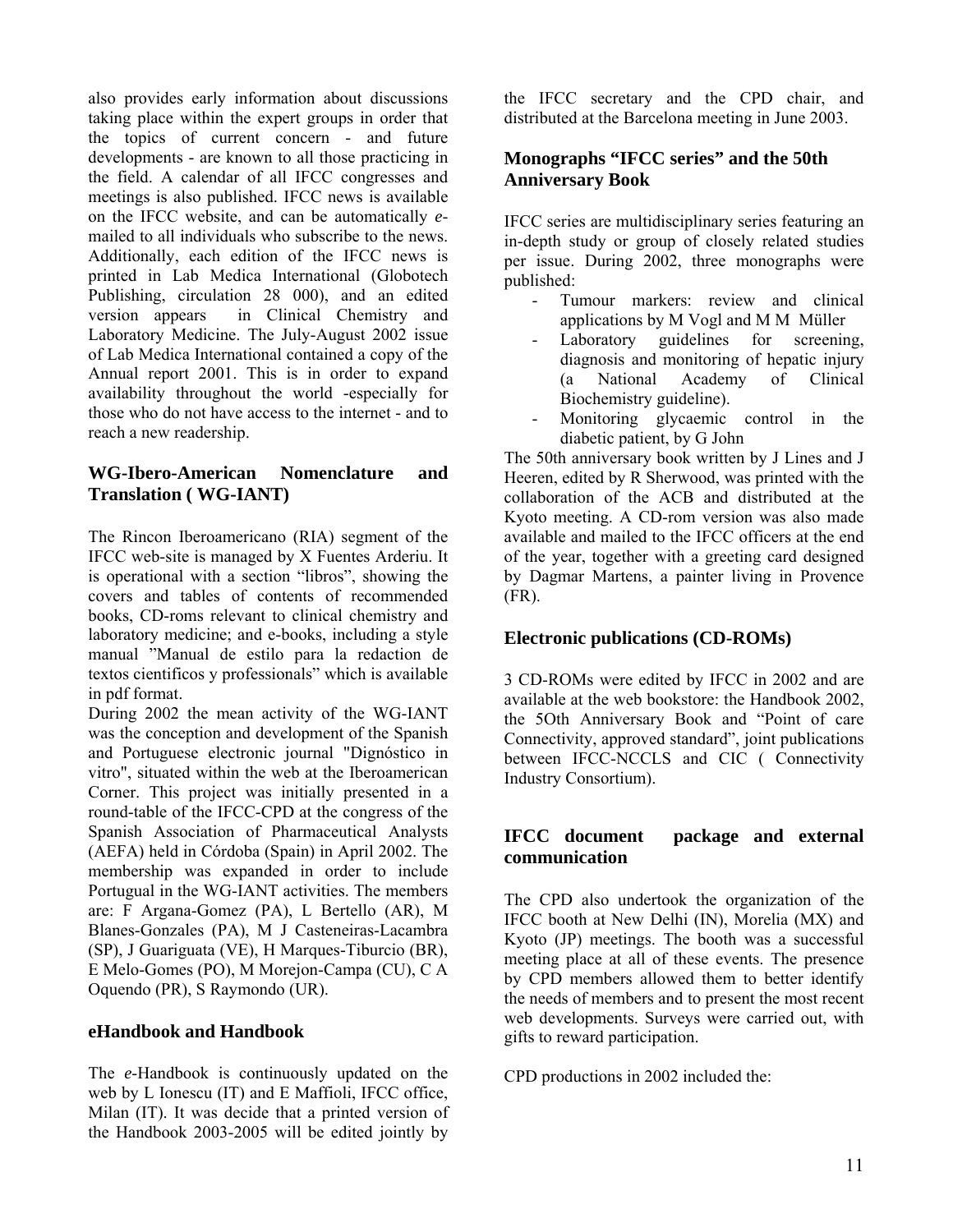also provides early information about discussions taking place within the expert groups in order that the topics of current concern - and future developments - are known to all those practicing in the field. A calendar of all IFCC congresses and meetings is also published. IFCC news is available on the IFCC website, and can be automatically *e*mailed to all individuals who subscribe to the news. Additionally, each edition of the IFCC news is printed in Lab Medica International (Globotech Publishing, circulation 28 000), and an edited version appears in Clinical Chemistry and Laboratory Medicine. The July-August 2002 issue of Lab Medica International contained a copy of the Annual report 2001. This is in order to expand availability throughout the world -especially for those who do not have access to the internet - and to reach a new readership.

## **WG-Ibero-American Nomenclature and Translation ( WG-IANT)**

The Rincon Iberoamericano (RIA) segment of the IFCC web-site is managed by X Fuentes Arderiu. It is operational with a section "libros", showing the covers and tables of contents of recommended books, CD-roms relevant to clinical chemistry and laboratory medicine; and e-books, including a style manual "Manual de estilo para la redaction de textos cientificos y professionals" which is available in pdf format.

During 2002 the mean activity of the WG-IANT was the conception and development of the Spanish and Portuguese electronic journal "Dignóstico in vitro", situated within the web at the Iberoamerican Corner. This project was initially presented in a round-table of the IFCC-CPD at the congress of the Spanish Association of Pharmaceutical Analysts (AEFA) held in Córdoba (Spain) in April 2002. The membership was expanded in order to include Portugual in the WG-IANT activities. The members are: F Argana-Gomez (PA), L Bertello (AR), M Blanes-Gonzales (PA), M J Casteneiras-Lacambra (SP), J Guariguata (VE), H Marques-Tiburcio (BR), E Melo-Gomes (PO), M Morejon-Campa (CU), C A Oquendo (PR), S Raymondo (UR).

## **eHandbook and Handbook**

The *e*-Handbook is continuously updated on the web by L Ionescu (IT) and E Maffioli, IFCC office, Milan (IT). It was decide that a printed version of the Handbook 2003-2005 will be edited jointly by

the IFCC secretary and the CPD chair, and distributed at the Barcelona meeting in June 2003.

# **Monographs "IFCC series" and the 50th Anniversary Book**

IFCC series are multidisciplinary series featuring an in-depth study or group of closely related studies per issue. During 2002, three monographs were published:

- Tumour markers: review and clinical applications by M Vogl and M M Müller
- Laboratory guidelines for screening, diagnosis and monitoring of hepatic injury (a National Academy of Clinical Biochemistry guideline).
- Monitoring glycaemic control in the diabetic patient, by G John

The 50th anniversary book written by J Lines and J Heeren, edited by R Sherwood, was printed with the collaboration of the ACB and distributed at the Kyoto meeting. A CD-rom version was also made available and mailed to the IFCC officers at the end of the year, together with a greeting card designed by Dagmar Martens, a painter living in Provence (FR).

## **Electronic publications (CD-ROMs)**

3 CD-ROMs were edited by IFCC in 2002 and are available at the web bookstore: the Handbook 2002, the 5Oth Anniversary Book and "Point of care Connectivity, approved standard", joint publications between IFCC-NCCLS and CIC ( Connectivity Industry Consortium).

## **IFCC document package and external communication**

The CPD also undertook the organization of the IFCC booth at New Delhi (IN), Morelia (MX) and Kyoto (JP) meetings. The booth was a successful meeting place at all of these events. The presence by CPD members allowed them to better identify the needs of members and to present the most recent web developments. Surveys were carried out, with gifts to reward participation.

CPD productions in 2002 included the: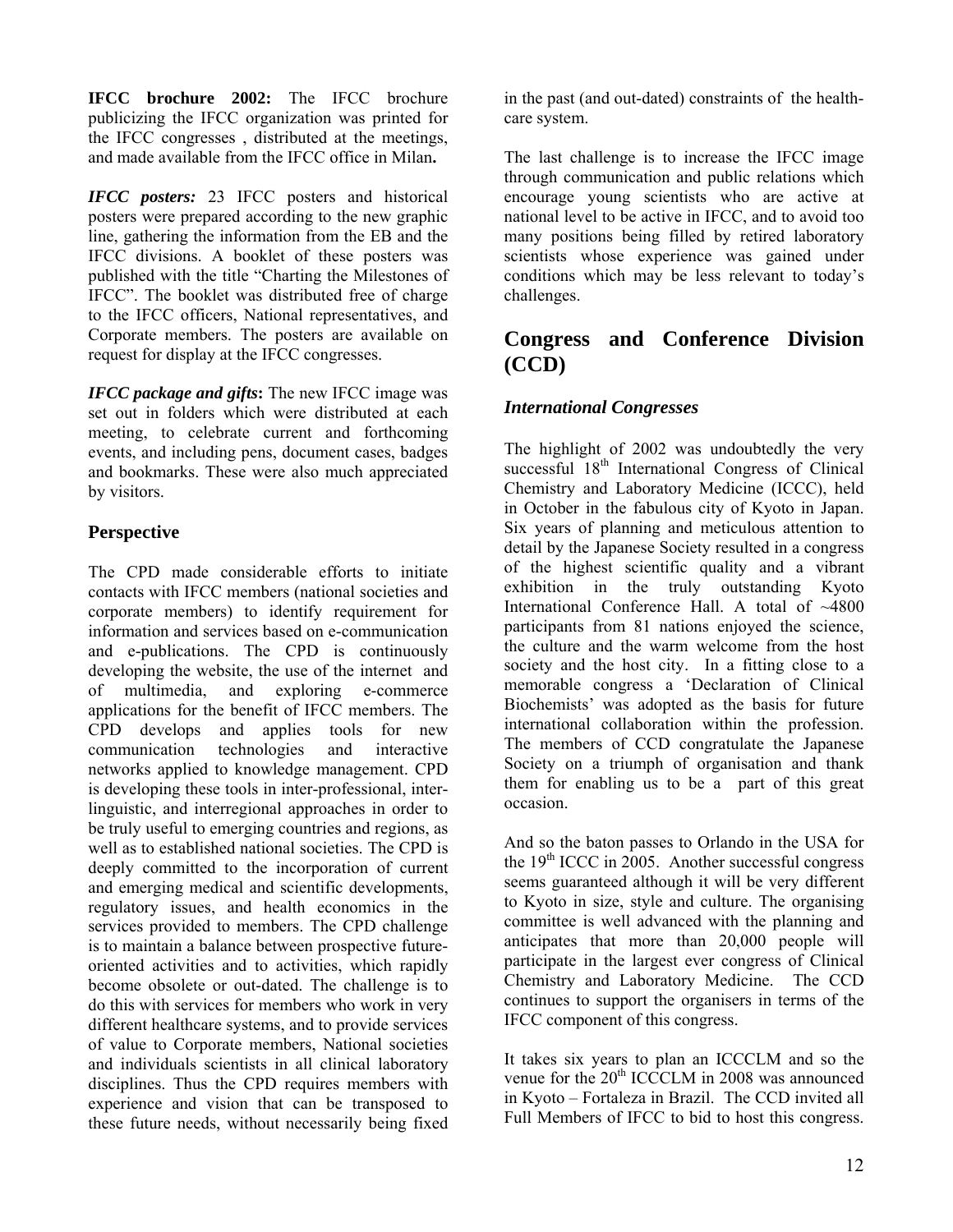**IFCC brochure 2002:** The IFCC brochure publicizing the IFCC organization was printed for the IFCC congresses , distributed at the meetings, and made available from the IFCC office in Milan**.** 

*IFCC posters:* 23 IFCC posters and historical posters were prepared according to the new graphic line, gathering the information from the EB and the IFCC divisions. A booklet of these posters was published with the title "Charting the Milestones of IFCC". The booklet was distributed free of charge to the IFCC officers, National representatives, and Corporate members. The posters are available on request for display at the IFCC congresses.

*IFCC package and gifts***:** The new IFCC image was set out in folders which were distributed at each meeting, to celebrate current and forthcoming events, and including pens, document cases, badges and bookmarks. These were also much appreciated by visitors.

# **Perspective**

The CPD made considerable efforts to initiate contacts with IFCC members (national societies and corporate members) to identify requirement for information and services based on e-communication and e-publications. The CPD is continuously developing the website, the use of the internet and of multimedia, and exploring e-commerce applications for the benefit of IFCC members. The CPD develops and applies tools for new communication technologies and interactive networks applied to knowledge management. CPD is developing these tools in inter-professional, interlinguistic, and interregional approaches in order to be truly useful to emerging countries and regions, as well as to established national societies. The CPD is deeply committed to the incorporation of current and emerging medical and scientific developments, regulatory issues, and health economics in the services provided to members. The CPD challenge is to maintain a balance between prospective futureoriented activities and to activities, which rapidly become obsolete or out-dated. The challenge is to do this with services for members who work in very different healthcare systems, and to provide services of value to Corporate members, National societies and individuals scientists in all clinical laboratory disciplines. Thus the CPD requires members with experience and vision that can be transposed to these future needs, without necessarily being fixed

in the past (and out-dated) constraints of the healthcare system.

The last challenge is to increase the IFCC image through communication and public relations which encourage young scientists who are active at national level to be active in IFCC, and to avoid too many positions being filled by retired laboratory scientists whose experience was gained under conditions which may be less relevant to today's challenges.

# **Congress and Conference Division (CCD)**

# *International Congresses*

The highlight of 2002 was undoubtedly the very successful 18<sup>th</sup> International Congress of Clinical Chemistry and Laboratory Medicine (ICCC), held in October in the fabulous city of Kyoto in Japan. Six years of planning and meticulous attention to detail by the Japanese Society resulted in a congress of the highest scientific quality and a vibrant exhibition in the truly outstanding Kyoto International Conference Hall. A total of ~4800 participants from 81 nations enjoyed the science, the culture and the warm welcome from the host society and the host city. In a fitting close to a memorable congress a 'Declaration of Clinical Biochemists' was adopted as the basis for future international collaboration within the profession. The members of CCD congratulate the Japanese Society on a triumph of organisation and thank them for enabling us to be a part of this great occasion.

And so the baton passes to Orlando in the USA for the  $19<sup>th</sup>$  ICCC in  $2005$ . Another successful congress seems guaranteed although it will be very different to Kyoto in size, style and culture. The organising committee is well advanced with the planning and anticipates that more than 20,000 people will participate in the largest ever congress of Clinical Chemistry and Laboratory Medicine. The CCD continues to support the organisers in terms of the IFCC component of this congress.

It takes six years to plan an ICCCLM and so the venue for the  $20<sup>th</sup>$  ICCCLM in 2008 was announced in Kyoto – Fortaleza in Brazil. The CCD invited all Full Members of IFCC to bid to host this congress.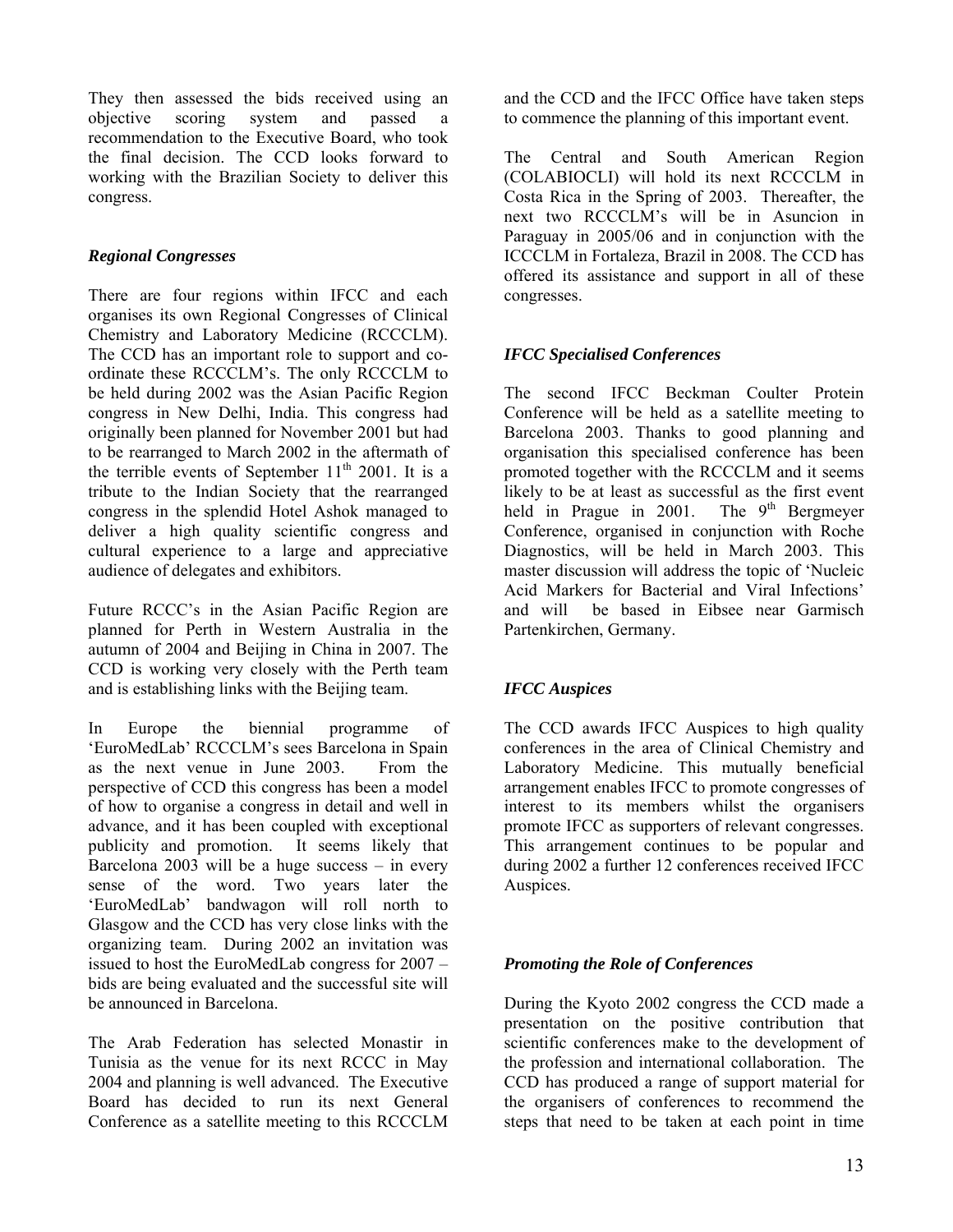They then assessed the bids received using an objective scoring system and passed a recommendation to the Executive Board, who took the final decision. The CCD looks forward to working with the Brazilian Society to deliver this congress.

## *Regional Congresses*

There are four regions within IFCC and each organises its own Regional Congresses of Clinical Chemistry and Laboratory Medicine (RCCCLM). The CCD has an important role to support and coordinate these RCCCLM's. The only RCCCLM to be held during 2002 was the Asian Pacific Region congress in New Delhi, India. This congress had originally been planned for November 2001 but had to be rearranged to March 2002 in the aftermath of the terrible events of September  $11<sup>th</sup>$  2001. It is a tribute to the Indian Society that the rearranged congress in the splendid Hotel Ashok managed to deliver a high quality scientific congress and cultural experience to a large and appreciative audience of delegates and exhibitors.

Future RCCC's in the Asian Pacific Region are planned for Perth in Western Australia in the autumn of 2004 and Beijing in China in 2007. The CCD is working very closely with the Perth team and is establishing links with the Beijing team.

In Europe the biennial programme of 'EuroMedLab' RCCCLM's sees Barcelona in Spain as the next venue in June 2003. From the perspective of CCD this congress has been a model of how to organise a congress in detail and well in advance, and it has been coupled with exceptional publicity and promotion. It seems likely that Barcelona 2003 will be a huge success – in every sense of the word. Two years later the 'EuroMedLab' bandwagon will roll north to Glasgow and the CCD has very close links with the organizing team. During 2002 an invitation was issued to host the EuroMedLab congress for 2007 – bids are being evaluated and the successful site will be announced in Barcelona.

The Arab Federation has selected Monastir in Tunisia as the venue for its next RCCC in May 2004 and planning is well advanced. The Executive Board has decided to run its next General Conference as a satellite meeting to this RCCCLM

and the CCD and the IFCC Office have taken steps to commence the planning of this important event.

The Central and South American Region (COLABIOCLI) will hold its next RCCCLM in Costa Rica in the Spring of 2003. Thereafter, the next two RCCCLM's will be in Asuncion in Paraguay in 2005/06 and in conjunction with the ICCCLM in Fortaleza, Brazil in 2008. The CCD has offered its assistance and support in all of these congresses.

# *IFCC Specialised Conferences*

The second IFCC Beckman Coulter Protein Conference will be held as a satellite meeting to Barcelona 2003. Thanks to good planning and organisation this specialised conference has been promoted together with the RCCCLM and it seems likely to be at least as successful as the first event<br>held in Prague in 2001. The  $9<sup>th</sup>$  Bergmeyer held in Prague in  $2001$ . Conference, organised in conjunction with Roche Diagnostics, will be held in March 2003. This master discussion will address the topic of 'Nucleic Acid Markers for Bacterial and Viral Infections' and will be based in Eibsee near Garmisch Partenkirchen, Germany.

# *IFCC Auspices*

The CCD awards IFCC Auspices to high quality conferences in the area of Clinical Chemistry and Laboratory Medicine. This mutually beneficial arrangement enables IFCC to promote congresses of interest to its members whilst the organisers promote IFCC as supporters of relevant congresses. This arrangement continues to be popular and during 2002 a further 12 conferences received IFCC Auspices.

## *Promoting the Role of Conferences*

During the Kyoto 2002 congress the CCD made a presentation on the positive contribution that scientific conferences make to the development of the profession and international collaboration. The CCD has produced a range of support material for the organisers of conferences to recommend the steps that need to be taken at each point in time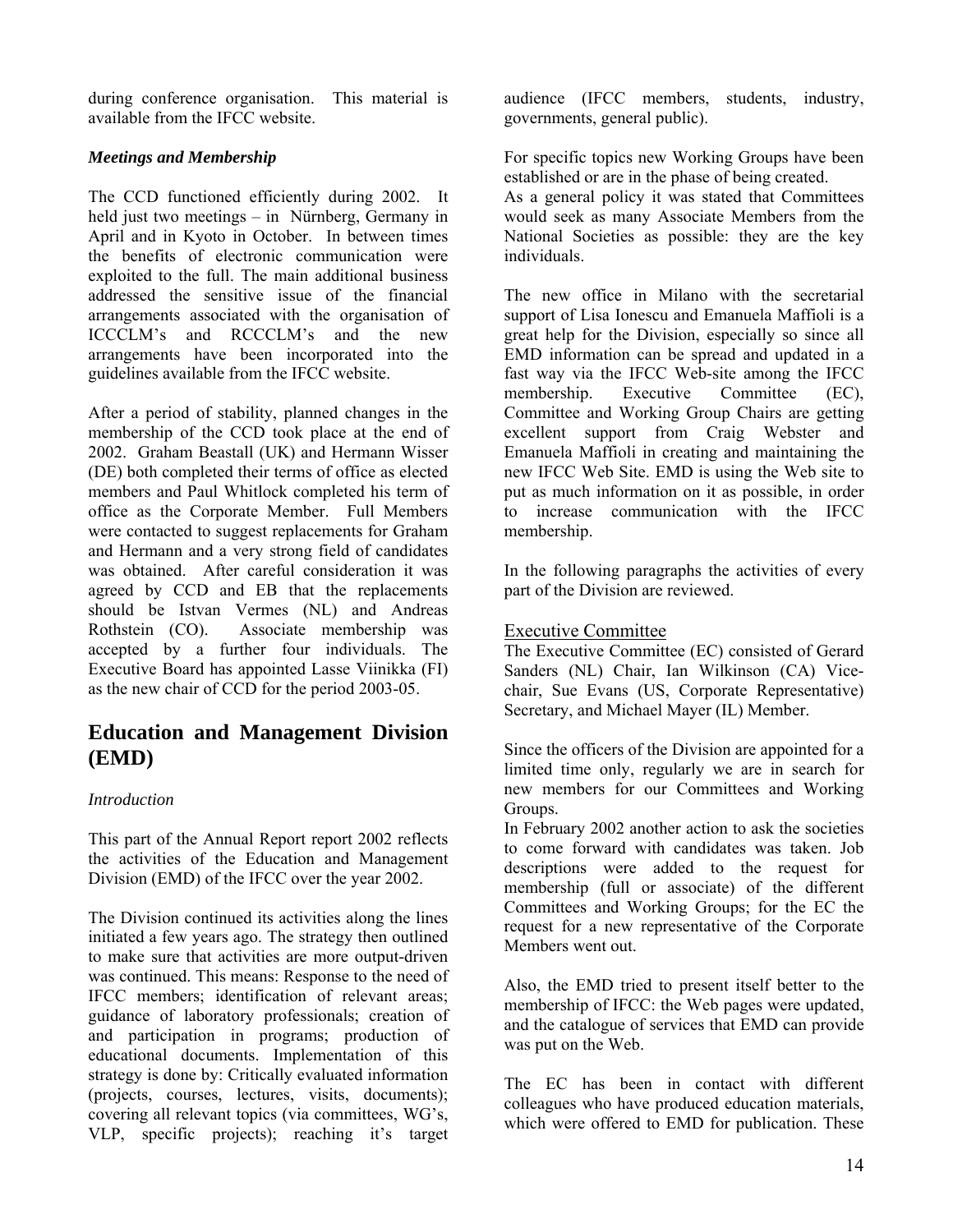during conference organisation. This material is available from the IFCC website.

## *Meetings and Membership*

The CCD functioned efficiently during 2002. It held just two meetings – in Nürnberg, Germany in April and in Kyoto in October. In between times the benefits of electronic communication were exploited to the full. The main additional business addressed the sensitive issue of the financial arrangements associated with the organisation of ICCCLM's and RCCCLM's and the new arrangements have been incorporated into the guidelines available from the IFCC website.

After a period of stability, planned changes in the membership of the CCD took place at the end of 2002. Graham Beastall (UK) and Hermann Wisser (DE) both completed their terms of office as elected members and Paul Whitlock completed his term of office as the Corporate Member. Full Members were contacted to suggest replacements for Graham and Hermann and a very strong field of candidates was obtained. After careful consideration it was agreed by CCD and EB that the replacements should be Istvan Vermes (NL) and Andreas Rothstein (CO). Associate membership was accepted by a further four individuals. The Executive Board has appointed Lasse Viinikka (FI) as the new chair of CCD for the period 2003-05.

# **Education and Management Division (EMD)**

#### *Introduction*

This part of the Annual Report report 2002 reflects the activities of the Education and Management Division (EMD) of the IFCC over the year 2002.

The Division continued its activities along the lines initiated a few years ago. The strategy then outlined to make sure that activities are more output-driven was continued. This means: Response to the need of IFCC members; identification of relevant areas; guidance of laboratory professionals; creation of and participation in programs; production of educational documents. Implementation of this strategy is done by: Critically evaluated information (projects, courses, lectures, visits, documents); covering all relevant topics (via committees, WG's, VLP, specific projects); reaching it's target

audience (IFCC members, students, industry, governments, general public).

For specific topics new Working Groups have been established or are in the phase of being created.

As a general policy it was stated that Committees would seek as many Associate Members from the National Societies as possible: they are the key individuals.

The new office in Milano with the secretarial support of Lisa Ionescu and Emanuela Maffioli is a great help for the Division, especially so since all EMD information can be spread and updated in a fast way via the IFCC Web-site among the IFCC membership. Executive Committee (EC), Committee and Working Group Chairs are getting excellent support from Craig Webster and Emanuela Maffioli in creating and maintaining the new IFCC Web Site. EMD is using the Web site to put as much information on it as possible, in order to increase communication with the IFCC membership.

In the following paragraphs the activities of every part of the Division are reviewed.

## Executive Committee

The Executive Committee (EC) consisted of Gerard Sanders (NL) Chair, Ian Wilkinson (CA) Vicechair, Sue Evans (US, Corporate Representative) Secretary, and Michael Mayer (IL) Member.

Since the officers of the Division are appointed for a limited time only, regularly we are in search for new members for our Committees and Working Groups.

In February 2002 another action to ask the societies to come forward with candidates was taken. Job descriptions were added to the request for membership (full or associate) of the different Committees and Working Groups; for the EC the request for a new representative of the Corporate Members went out.

Also, the EMD tried to present itself better to the membership of IFCC: the Web pages were updated, and the catalogue of services that EMD can provide was put on the Web.

The EC has been in contact with different colleagues who have produced education materials, which were offered to EMD for publication. These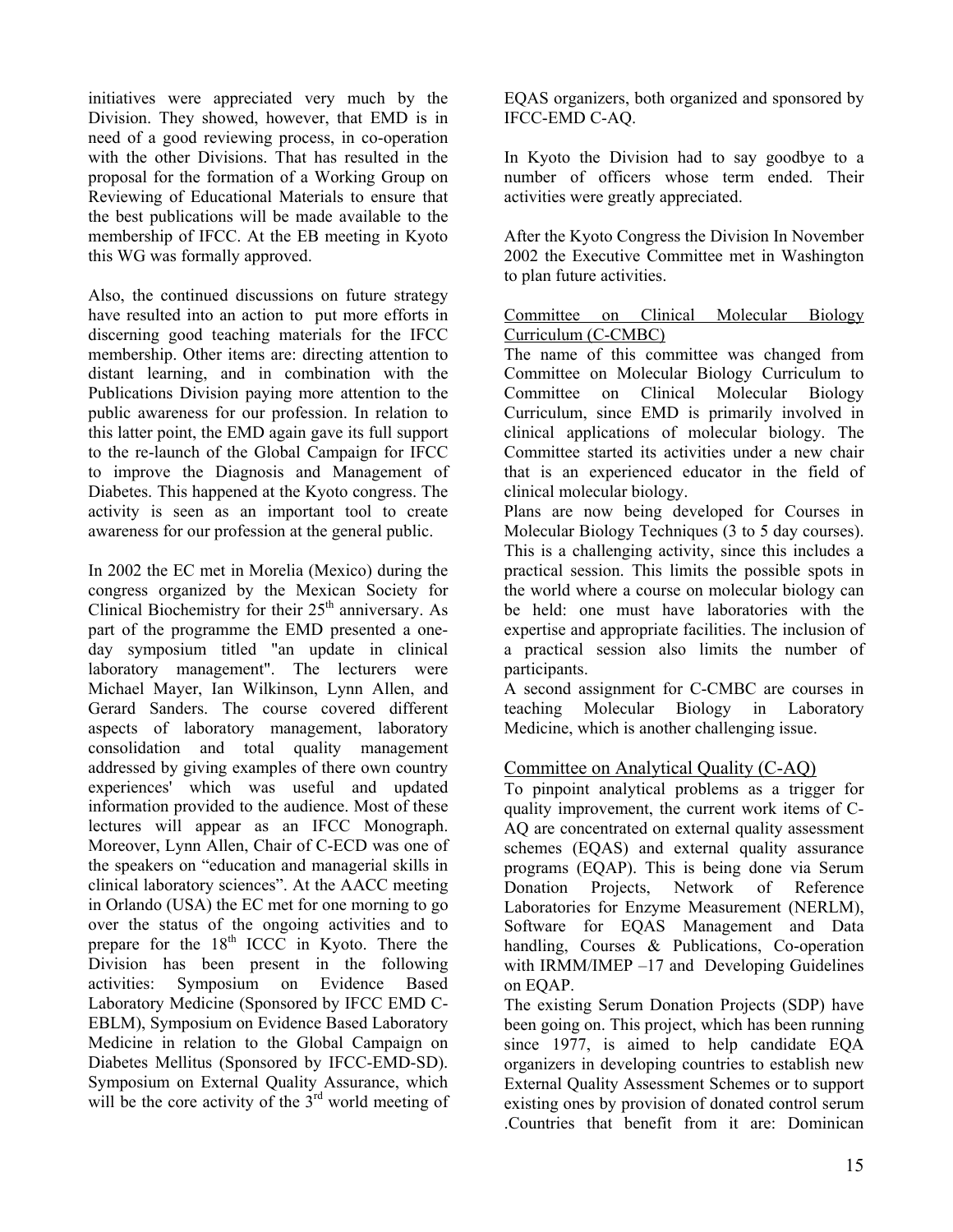initiatives were appreciated very much by the Division. They showed, however, that EMD is in need of a good reviewing process, in co-operation with the other Divisions. That has resulted in the proposal for the formation of a Working Group on Reviewing of Educational Materials to ensure that the best publications will be made available to the membership of IFCC. At the EB meeting in Kyoto this WG was formally approved.

Also, the continued discussions on future strategy have resulted into an action to put more efforts in discerning good teaching materials for the IFCC membership. Other items are: directing attention to distant learning, and in combination with the Publications Division paying more attention to the public awareness for our profession. In relation to this latter point, the EMD again gave its full support to the re-launch of the Global Campaign for IFCC to improve the Diagnosis and Management of Diabetes. This happened at the Kyoto congress. The activity is seen as an important tool to create awareness for our profession at the general public.

In 2002 the EC met in Morelia (Mexico) during the congress organized by the Mexican Society for Clinical Biochemistry for their 25<sup>th</sup> anniversary. As part of the programme the EMD presented a oneday symposium titled "an update in clinical laboratory management". The lecturers were Michael Mayer, Ian Wilkinson, Lynn Allen, and Gerard Sanders. The course covered different aspects of laboratory management, laboratory consolidation and total quality management addressed by giving examples of there own country experiences' which was useful and updated information provided to the audience. Most of these lectures will appear as an IFCC Monograph. Moreover, Lynn Allen, Chair of C-ECD was one of the speakers on "education and managerial skills in clinical laboratory sciences". At the AACC meeting in Orlando (USA) the EC met for one morning to go over the status of the ongoing activities and to prepare for the  $18<sup>th</sup>$  ICCC in Kyoto. There the Division has been present in the following activities: Symposium on Evidence Based Laboratory Medicine (Sponsored by IFCC EMD C-EBLM), Symposium on Evidence Based Laboratory Medicine in relation to the Global Campaign on Diabetes Mellitus (Sponsored by IFCC-EMD-SD). Symposium on External Quality Assurance, which will be the core activity of the  $3<sup>rd</sup>$  world meeting of

EQAS organizers, both organized and sponsored by IFCC-EMD C-AQ.

In Kyoto the Division had to say goodbye to a number of officers whose term ended. Their activities were greatly appreciated.

After the Kyoto Congress the Division In November 2002 the Executive Committee met in Washington to plan future activities.

### Committee on Clinical Molecular Biology Curriculum (C-CMBC)

The name of this committee was changed from Committee on Molecular Biology Curriculum to Committee on Clinical Molecular Biology Curriculum, since EMD is primarily involved in clinical applications of molecular biology. The Committee started its activities under a new chair that is an experienced educator in the field of clinical molecular biology.

Plans are now being developed for Courses in Molecular Biology Techniques (3 to 5 day courses). This is a challenging activity, since this includes a practical session. This limits the possible spots in the world where a course on molecular biology can be held: one must have laboratories with the expertise and appropriate facilities. The inclusion of a practical session also limits the number of participants.

A second assignment for C-CMBC are courses in teaching Molecular Biology in Laboratory Medicine, which is another challenging issue.

## Committee on Analytical Quality (C-AQ)

To pinpoint analytical problems as a trigger for quality improvement, the current work items of C-AQ are concentrated on external quality assessment schemes (EQAS) and external quality assurance programs (EQAP). This is being done via Serum Donation Projects, Network of Reference Laboratories for Enzyme Measurement (NERLM), Software for EQAS Management and Data handling, Courses & Publications, Co-operation with IRMM/IMEP –17 and Developing Guidelines on EQAP.

The existing Serum Donation Projects (SDP) have been going on. This project, which has been running since 1977, is aimed to help candidate EQA organizers in developing countries to establish new External Quality Assessment Schemes or to support existing ones by provision of donated control serum .Countries that benefit from it are: Dominican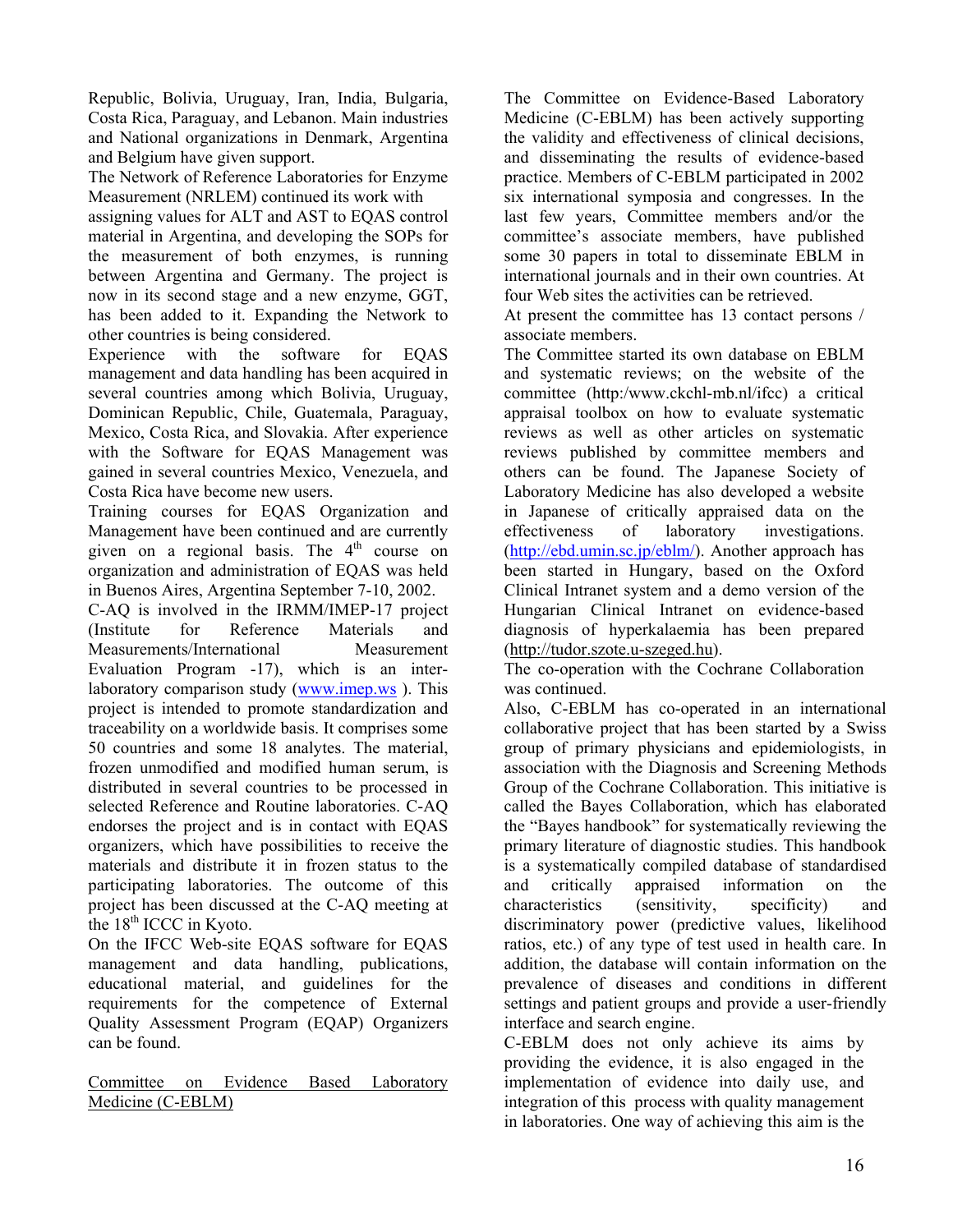Republic, Bolivia, Uruguay, Iran, India, Bulgaria, Costa Rica, Paraguay, and Lebanon. Main industries and National organizations in Denmark, Argentina and Belgium have given support.

The Network of Reference Laboratories for Enzyme Measurement (NRLEM) continued its work with

assigning values for ALT and AST to EQAS control material in Argentina, and developing the SOPs for the measurement of both enzymes, is running between Argentina and Germany. The project is now in its second stage and a new enzyme, GGT, has been added to it. Expanding the Network to other countries is being considered.

Experience with the software for EQAS management and data handling has been acquired in several countries among which Bolivia, Uruguay, Dominican Republic, Chile, Guatemala, Paraguay, Mexico, Costa Rica, and Slovakia. After experience with the Software for EQAS Management was gained in several countries Mexico, Venezuela, and Costa Rica have become new users.

Training courses for EQAS Organization and Management have been continued and are currently given on a regional basis. The  $4<sup>th</sup>$  course on organization and administration of EQAS was held in Buenos Aires, Argentina September 7-10, 2002.

C-AQ is involved in the IRMM/IMEP-17 project (Institute for Reference Materials and Measurements/International Measurement Evaluation Program -17), which is an interlaboratory comparison study [\(www.imep.ws](http://www.imep.ws/) ). This project is intended to promote standardization and traceability on a worldwide basis. It comprises some 50 countries and some 18 analytes. The material, frozen unmodified and modified human serum, is distributed in several countries to be processed in selected Reference and Routine laboratories. C-AQ endorses the project and is in contact with EQAS organizers, which have possibilities to receive the materials and distribute it in frozen status to the participating laboratories. The outcome of this project has been discussed at the C-AQ meeting at the  $18<sup>th</sup>$  ICCC in Kyoto.

On the IFCC Web-site EQAS software for EQAS management and data handling, publications, educational material, and guidelines for the requirements for the competence of External Quality Assessment Program (EQAP) Organizers can be found.

Committee on Evidence Based Laboratory Medicine (C-EBLM)

The Committee on Evidence-Based Laboratory Medicine (C-EBLM) has been actively supporting the validity and effectiveness of clinical decisions, and disseminating the results of evidence-based practice. Members of C-EBLM participated in 2002 six international symposia and congresses. In the last few years, Committee members and/or the committee's associate members, have published some 30 papers in total to disseminate EBLM in international journals and in their own countries. At four Web sites the activities can be retrieved.

At present the committee has 13 contact persons / associate members.

The Committee started its own database on EBLM and systematic reviews; on the website of the committee (http:/www.ckchl-mb.nl/ifcc) a critical appraisal toolbox on how to evaluate systematic reviews as well as other articles on systematic reviews published by committee members and others can be found. The Japanese Society of Laboratory Medicine has also developed a website in Japanese of critically appraised data on the effectiveness of laboratory investigations. (<http://ebd.umin.sc.jp/eblm/>). Another approach has been started in Hungary, based on the Oxford Clinical Intranet system and a demo version of the Hungarian Clinical Intranet on evidence-based diagnosis of hyperkalaemia has been prepared ([http://tudor.szote.u-szeged.hu](http://tudor.szote.u-szeged.hu/)).

The co-operation with the Cochrane Collaboration was continued.

Also, C-EBLM has co-operated in an international collaborative project that has been started by a Swiss group of primary physicians and epidemiologists, in association with the Diagnosis and Screening Methods Group of the Cochrane Collaboration. This initiative is called the Bayes Collaboration, which has elaborated the "Bayes handbook" for systematically reviewing the primary literature of diagnostic studies. This handbook is a systematically compiled database of standardised and critically appraised information on the characteristics (sensitivity, specificity) and discriminatory power (predictive values, likelihood ratios, etc.) of any type of test used in health care. In addition, the database will contain information on the prevalence of diseases and conditions in different settings and patient groups and provide a user-friendly interface and search engine.

C-EBLM does not only achieve its aims by providing the evidence, it is also engaged in the implementation of evidence into daily use, and integration of this process with quality management in laboratories. One way of achieving this aim is the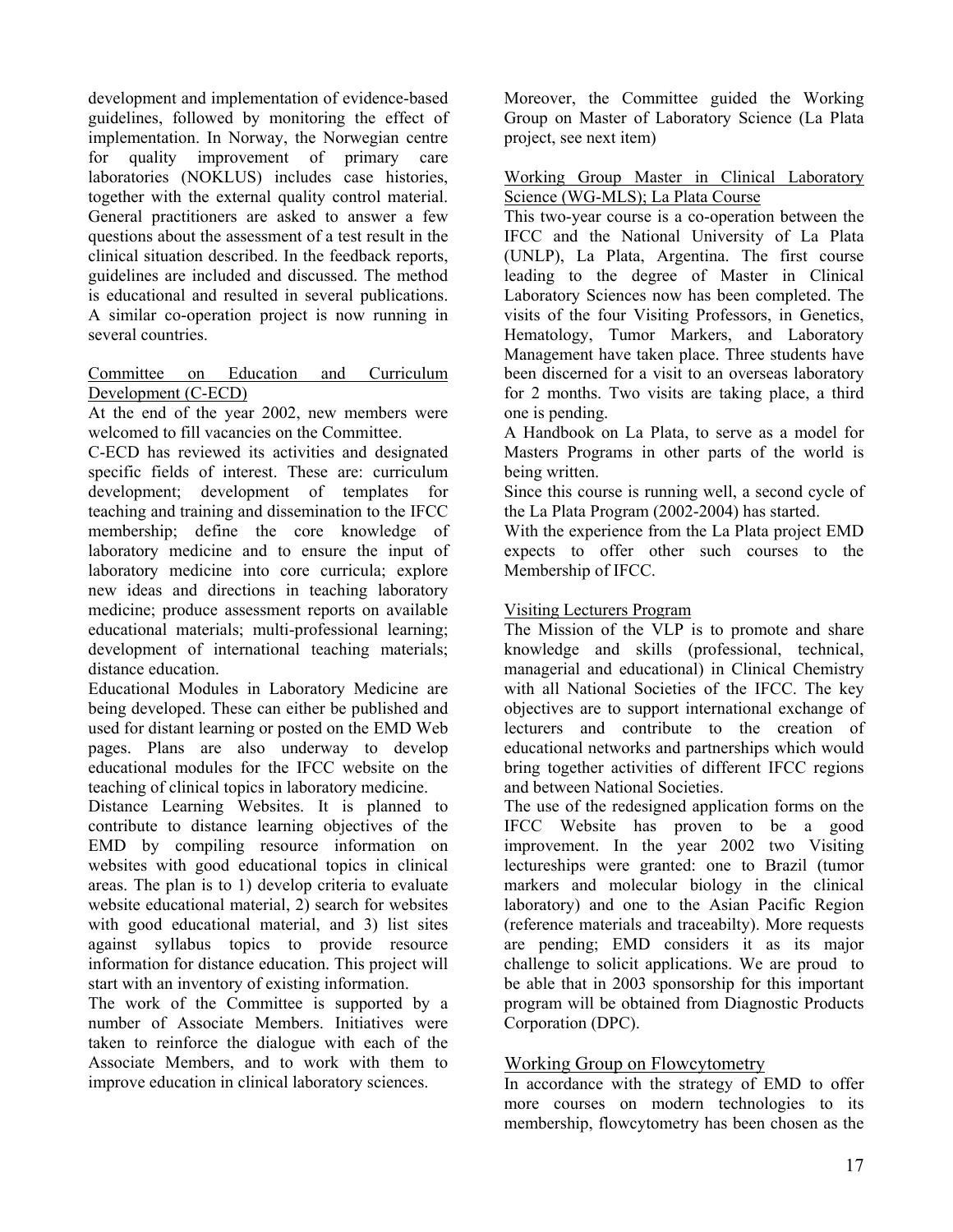development and implementation of evidence-based guidelines, followed by monitoring the effect of implementation. In Norway, the Norwegian centre for quality improvement of primary care laboratories (NOKLUS) includes case histories, together with the external quality control material. General practitioners are asked to answer a few questions about the assessment of a test result in the clinical situation described. In the feedback reports, guidelines are included and discussed. The method is educational and resulted in several publications. A similar co-operation project is now running in several countries.

### Committee on Education and Curriculum Development (C-ECD)

At the end of the year 2002, new members were welcomed to fill vacancies on the Committee.

C-ECD has reviewed its activities and designated specific fields of interest. These are: curriculum development; development of templates for teaching and training and dissemination to the IFCC membership; define the core knowledge of laboratory medicine and to ensure the input of laboratory medicine into core curricula; explore new ideas and directions in teaching laboratory medicine; produce assessment reports on available educational materials; multi-professional learning; development of international teaching materials; distance education.

Educational Modules in Laboratory Medicine are being developed. These can either be published and used for distant learning or posted on the EMD Web pages. Plans are also underway to develop educational modules for the IFCC website on the teaching of clinical topics in laboratory medicine.

Distance Learning Websites. It is planned to contribute to distance learning objectives of the EMD by compiling resource information on websites with good educational topics in clinical areas. The plan is to 1) develop criteria to evaluate website educational material, 2) search for websites with good educational material, and 3) list sites against syllabus topics to provide resource information for distance education. This project will start with an inventory of existing information.

The work of the Committee is supported by a number of Associate Members. Initiatives were taken to reinforce the dialogue with each of the Associate Members, and to work with them to improve education in clinical laboratory sciences.

Moreover, the Committee guided the Working Group on Master of Laboratory Science (La Plata project, see next item)

Working Group Master in Clinical Laboratory Science (WG-MLS); La Plata Course

This two-year course is a co-operation between the IFCC and the National University of La Plata (UNLP), La Plata, Argentina. The first course leading to the degree of Master in Clinical Laboratory Sciences now has been completed. The visits of the four Visiting Professors, in Genetics, Hematology, Tumor Markers, and Laboratory Management have taken place. Three students have been discerned for a visit to an overseas laboratory for 2 months. Two visits are taking place, a third one is pending.

A Handbook on La Plata, to serve as a model for Masters Programs in other parts of the world is being written.

Since this course is running well, a second cycle of the La Plata Program (2002-2004) has started.

With the experience from the La Plata project EMD expects to offer other such courses to the Membership of IFCC.

## Visiting Lecturers Program

The Mission of the VLP is to promote and share knowledge and skills (professional, technical, managerial and educational) in Clinical Chemistry with all National Societies of the IFCC. The key objectives are to support international exchange of lecturers and contribute to the creation of educational networks and partnerships which would bring together activities of different IFCC regions and between National Societies.

The use of the redesigned application forms on the IFCC Website has proven to be a good improvement. In the year 2002 two Visiting lectureships were granted: one to Brazil (tumor markers and molecular biology in the clinical laboratory) and one to the Asian Pacific Region (reference materials and traceabilty). More requests are pending; EMD considers it as its major challenge to solicit applications. We are proud to be able that in 2003 sponsorship for this important program will be obtained from Diagnostic Products Corporation (DPC).

## Working Group on Flowcytometry

In accordance with the strategy of EMD to offer more courses on modern technologies to its membership, flowcytometry has been chosen as the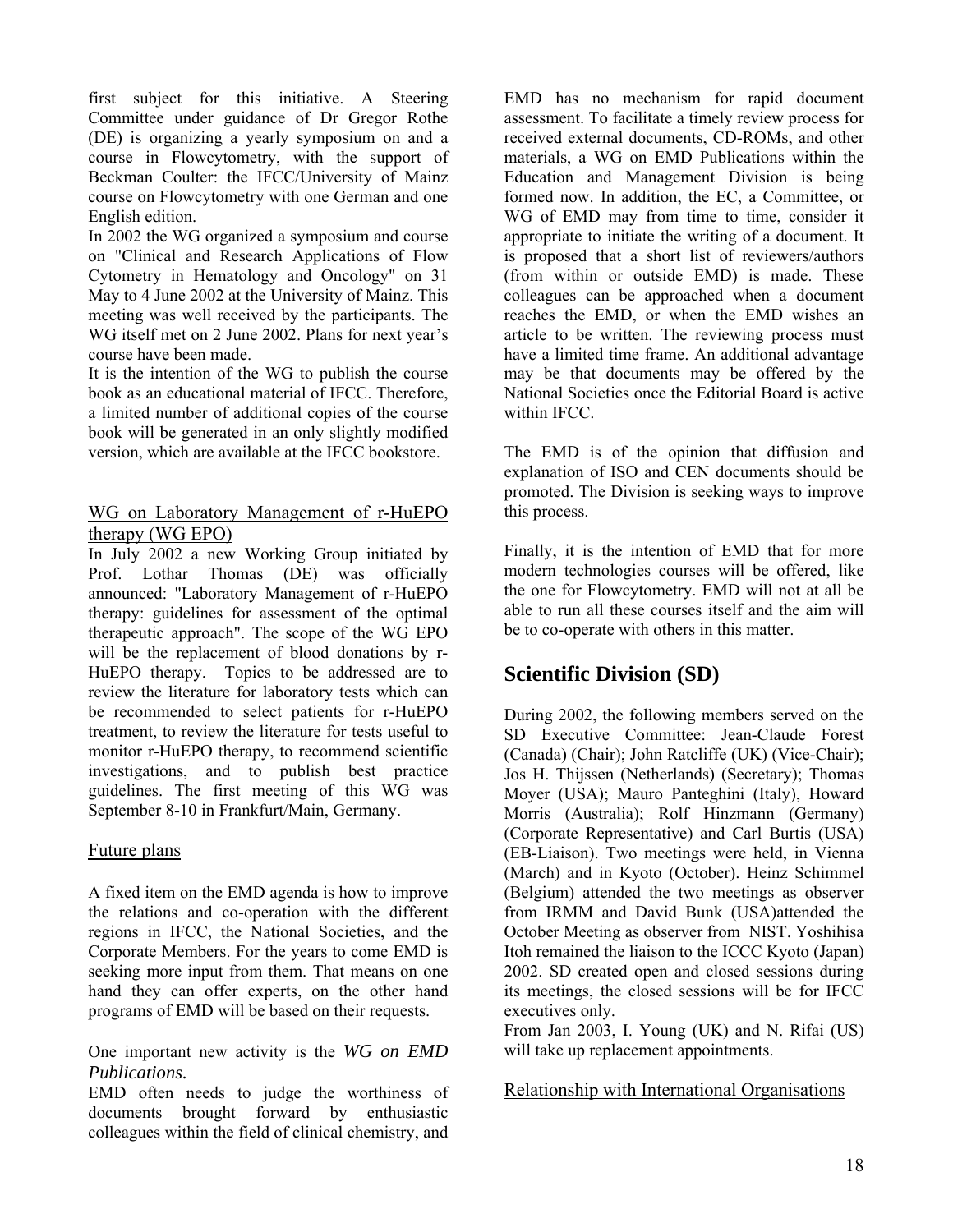first subject for this initiative. A Steering Committee under guidance of Dr Gregor Rothe (DE) is organizing a yearly symposium on and a course in Flowcytometry, with the support of Beckman Coulter: the IFCC/University of Mainz course on Flowcytometry with one German and one English edition.

In 2002 the WG organized a symposium and course on "Clinical and Research Applications of Flow Cytometry in Hematology and Oncology" on 31 May to 4 June 2002 at the University of Mainz. This meeting was well received by the participants. The WG itself met on 2 June 2002. Plans for next year's course have been made.

It is the intention of the WG to publish the course book as an educational material of IFCC. Therefore, a limited number of additional copies of the course book will be generated in an only slightly modified version, which are available at the IFCC bookstore.

## WG on Laboratory Management of r-HuEPO therapy (WG EPO)

In July 2002 a new Working Group initiated by Prof. Lothar Thomas (DE) was officially announced: "Laboratory Management of r-HuEPO therapy: guidelines for assessment of the optimal therapeutic approach". The scope of the WG EPO will be the replacement of blood donations by r-HuEPO therapy. Topics to be addressed are to review the literature for laboratory tests which can be recommended to select patients for r-HuEPO treatment, to review the literature for tests useful to monitor r-HuEPO therapy, to recommend scientific investigations, and to publish best practice guidelines. The first meeting of this WG was September 8-10 in Frankfurt/Main, Germany.

## Future plans

A fixed item on the EMD agenda is how to improve the relations and co-operation with the different regions in IFCC, the National Societies, and the Corporate Members. For the years to come EMD is seeking more input from them. That means on one hand they can offer experts, on the other hand programs of EMD will be based on their requests.

## One important new activity is the *WG on EMD Publications.*

EMD often needs to judge the worthiness of documents brought forward by enthusiastic colleagues within the field of clinical chemistry, and

EMD has no mechanism for rapid document assessment. To facilitate a timely review process for received external documents, CD-ROMs, and other materials, a WG on EMD Publications within the Education and Management Division is being formed now. In addition, the EC, a Committee, or WG of EMD may from time to time, consider it appropriate to initiate the writing of a document. It is proposed that a short list of reviewers/authors (from within or outside EMD) is made. These colleagues can be approached when a document reaches the EMD, or when the EMD wishes an article to be written. The reviewing process must have a limited time frame. An additional advantage may be that documents may be offered by the National Societies once the Editorial Board is active within IFCC.

The EMD is of the opinion that diffusion and explanation of ISO and CEN documents should be promoted. The Division is seeking ways to improve this process.

Finally, it is the intention of EMD that for more modern technologies courses will be offered, like the one for Flowcytometry. EMD will not at all be able to run all these courses itself and the aim will be to co-operate with others in this matter.

# **Scientific Division (SD)**

During 2002, the following members served on the SD Executive Committee: Jean-Claude Forest (Canada) (Chair); John Ratcliffe (UK) (Vice-Chair); Jos H. Thijssen (Netherlands) (Secretary); Thomas Moyer (USA); Mauro Panteghini (Italy), Howard Morris (Australia); Rolf Hinzmann (Germany) (Corporate Representative) and Carl Burtis (USA) (EB-Liaison). Two meetings were held, in Vienna (March) and in Kyoto (October). Heinz Schimmel (Belgium) attended the two meetings as observer from IRMM and David Bunk (USA)attended the October Meeting as observer from NIST. Yoshihisa Itoh remained the liaison to the ICCC Kyoto (Japan) 2002. SD created open and closed sessions during its meetings, the closed sessions will be for IFCC executives only.

From Jan 2003, I. Young (UK) and N. Rifai (US) will take up replacement appointments.

Relationship with International Organisations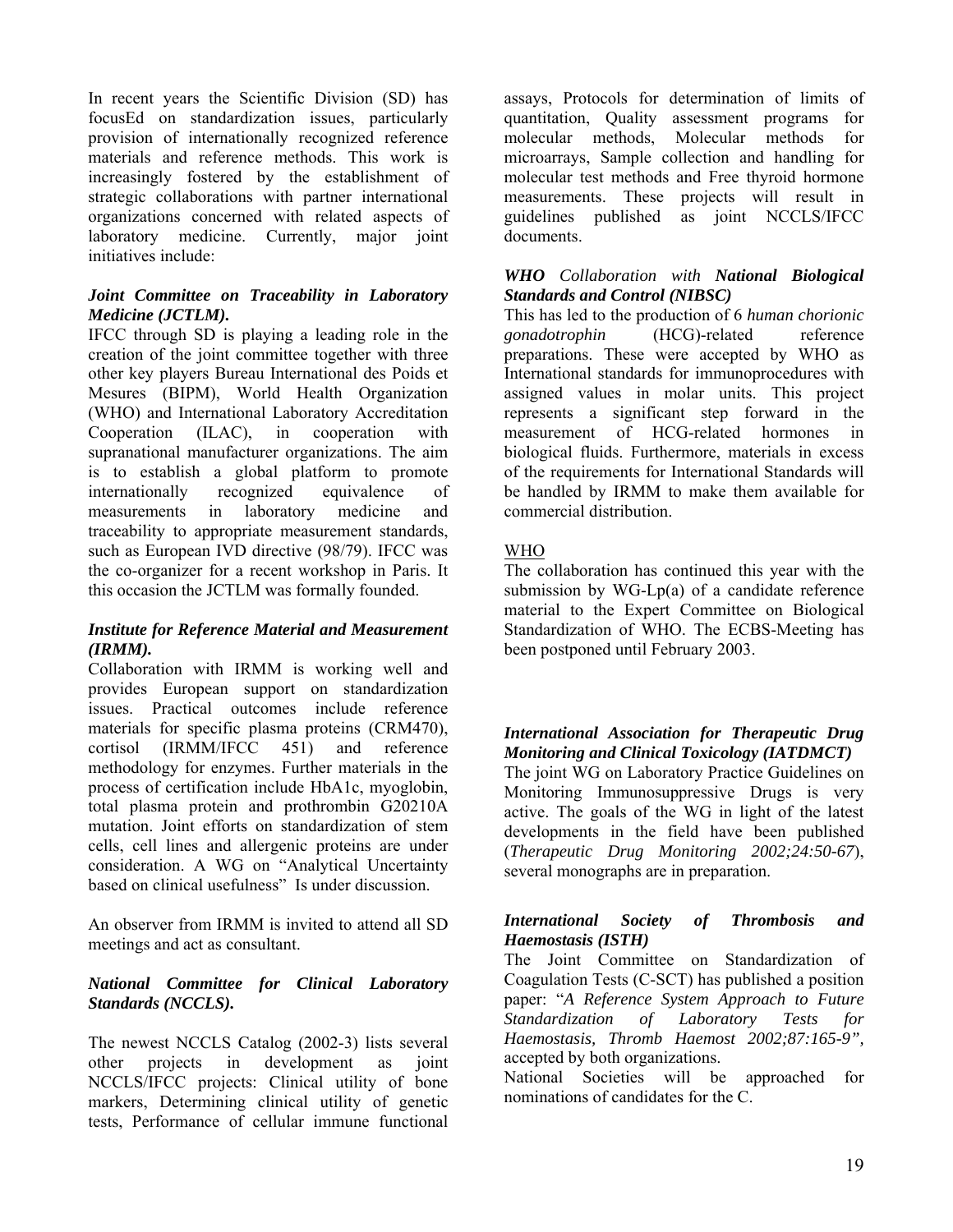In recent years the Scientific Division (SD) has focusEd on standardization issues, particularly provision of internationally recognized reference materials and reference methods. This work is increasingly fostered by the establishment of strategic collaborations with partner international organizations concerned with related aspects of laboratory medicine. Currently, major joint initiatives include:

## *Joint Committee on Traceability in Laboratory Medicine (JCTLM).*

IFCC through SD is playing a leading role in the creation of the joint committee together with three other key players Bureau International des Poids et Mesures (BIPM), World Health Organization (WHO) and International Laboratory Accreditation Cooperation (ILAC), in cooperation with supranational manufacturer organizations. The aim is to establish a global platform to promote internationally recognized equivalence of measurements in laboratory medicine and traceability to appropriate measurement standards, such as European IVD directive (98/79). IFCC was the co-organizer for a recent workshop in Paris. It this occasion the JCTLM was formally founded.

#### *Institute for Reference Material and Measurement (IRMM).*

Collaboration with IRMM is working well and provides European support on standardization issues. Practical outcomes include reference materials for specific plasma proteins (CRM470), cortisol (IRMM/IFCC 451) and reference methodology for enzymes. Further materials in the process of certification include HbA1c, myoglobin, total plasma protein and prothrombin G20210A mutation. Joint efforts on standardization of stem cells, cell lines and allergenic proteins are under consideration. A WG on "Analytical Uncertainty based on clinical usefulness" Is under discussion.

An observer from IRMM is invited to attend all SD meetings and act as consultant.

## *National Committee for Clinical Laboratory Standards (NCCLS).*

The newest NCCLS Catalog (2002-3) lists several other projects in development as joint NCCLS/IFCC projects: Clinical utility of bone markers, Determining clinical utility of genetic tests, Performance of cellular immune functional assays, Protocols for determination of limits of quantitation, Quality assessment programs for molecular methods, Molecular methods for microarrays, Sample collection and handling for molecular test methods and Free thyroid hormone measurements. These projects will result in guidelines published as joint NCCLS/IFCC documents.

## *WHO Collaboration with National Biological Standards and Control (NIBSC)*

This has led to the production of 6 *human chorionic gonadotrophin* (HCG)-related reference preparations. These were accepted by WHO as International standards for immunoprocedures with assigned values in molar units. This project represents a significant step forward in the measurement of HCG-related hormones in biological fluids. Furthermore, materials in excess of the requirements for International Standards will be handled by IRMM to make them available for commercial distribution.

# WHO

The collaboration has continued this year with the submission by  $WG-Lp(a)$  of a candidate reference material to the Expert Committee on Biological Standardization of WHO. The ECBS-Meeting has been postponed until February 2003.

# *International Association for Therapeutic Drug Monitoring and Clinical Toxicology (IATDMCT)*

The joint WG on Laboratory Practice Guidelines on Monitoring Immunosuppressive Drugs is very active. The goals of the WG in light of the latest developments in the field have been published (*Therapeutic Drug Monitoring 2002;24:50-67*), several monographs are in preparation.

## *International Society of Thrombosis and Haemostasis (ISTH)*

The Joint Committee on Standardization of Coagulation Tests (C-SCT) has published a position paper: "*A Reference System Approach to Future Standardization of Laboratory Tests for Haemostasis, Thromb Haemost 2002;87:165-9",* accepted by both organizations.

National Societies will be approached for nominations of candidates for the C.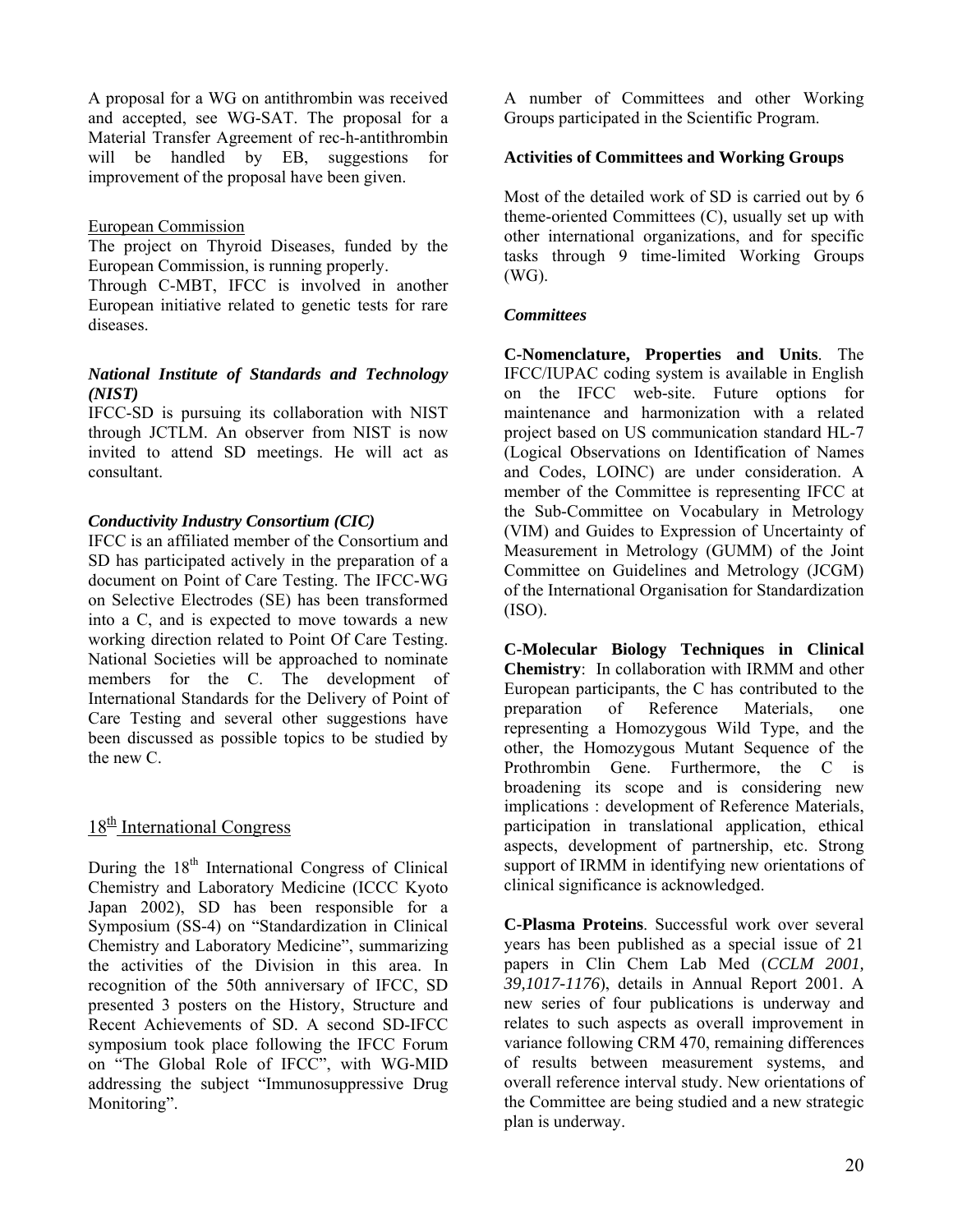A proposal for a WG on antithrombin was received and accepted, see WG-SAT. The proposal for a Material Transfer Agreement of rec-h-antithrombin will be handled by EB, suggestions for improvement of the proposal have been given.

### European Commission

The project on Thyroid Diseases, funded by the European Commission, is running properly.

Through C-MBT, IFCC is involved in another European initiative related to genetic tests for rare diseases.

## *National Institute of Standards and Technology (NIST)*

IFCC-SD is pursuing its collaboration with NIST through JCTLM. An observer from NIST is now invited to attend SD meetings. He will act as consultant.

## *Conductivity Industry Consortium (CIC)*

IFCC is an affiliated member of the Consortium and SD has participated actively in the preparation of a document on Point of Care Testing. The IFCC-WG on Selective Electrodes (SE) has been transformed into a C, and is expected to move towards a new working direction related to Point Of Care Testing. National Societies will be approached to nominate members for the C. The development of International Standards for the Delivery of Point of Care Testing and several other suggestions have been discussed as possible topics to be studied by the new C.

## $18<sup>th</sup>$  International Congress

During the 18<sup>th</sup> International Congress of Clinical Chemistry and Laboratory Medicine (ICCC Kyoto Japan 2002), SD has been responsible for a Symposium (SS-4) on "Standardization in Clinical Chemistry and Laboratory Medicine", summarizing the activities of the Division in this area. In recognition of the 50th anniversary of IFCC, SD presented 3 posters on the History, Structure and Recent Achievements of SD. A second SD-IFCC symposium took place following the IFCC Forum on "The Global Role of IFCC", with WG-MID addressing the subject "Immunosuppressive Drug Monitoring".

A number of Committees and other Working Groups participated in the Scientific Program.

### **Activities of Committees and Working Groups**

Most of the detailed work of SD is carried out by 6 theme-oriented Committees (C), usually set up with other international organizations, and for specific tasks through 9 time-limited Working Groups (WG).

#### *Committees*

**C-Nomenclature, Properties and Units**. The IFCC/IUPAC coding system is available in English on the IFCC web-site. Future options for maintenance and harmonization with a related project based on US communication standard HL-7 (Logical Observations on Identification of Names and Codes, LOINC) are under consideration. A member of the Committee is representing IFCC at the Sub-Committee on Vocabulary in Metrology (VIM) and Guides to Expression of Uncertainty of Measurement in Metrology (GUMM) of the Joint Committee on Guidelines and Metrology (JCGM) of the International Organisation for Standardization (ISO).

**C-Molecular Biology Techniques in Clinical Chemistry**: In collaboration with IRMM and other European participants, the C has contributed to the preparation of Reference Materials, one representing a Homozygous Wild Type, and the other, the Homozygous Mutant Sequence of the Prothrombin Gene. Furthermore, the C is broadening its scope and is considering new implications : development of Reference Materials, participation in translational application, ethical aspects, development of partnership, etc. Strong support of IRMM in identifying new orientations of clinical significance is acknowledged.

**C-Plasma Proteins**. Successful work over several years has been published as a special issue of 21 papers in Clin Chem Lab Med (*CCLM 2001, 39,1017-1176*), details in Annual Report 2001. A new series of four publications is underway and relates to such aspects as overall improvement in variance following CRM 470, remaining differences of results between measurement systems, and overall reference interval study. New orientations of the Committee are being studied and a new strategic plan is underway.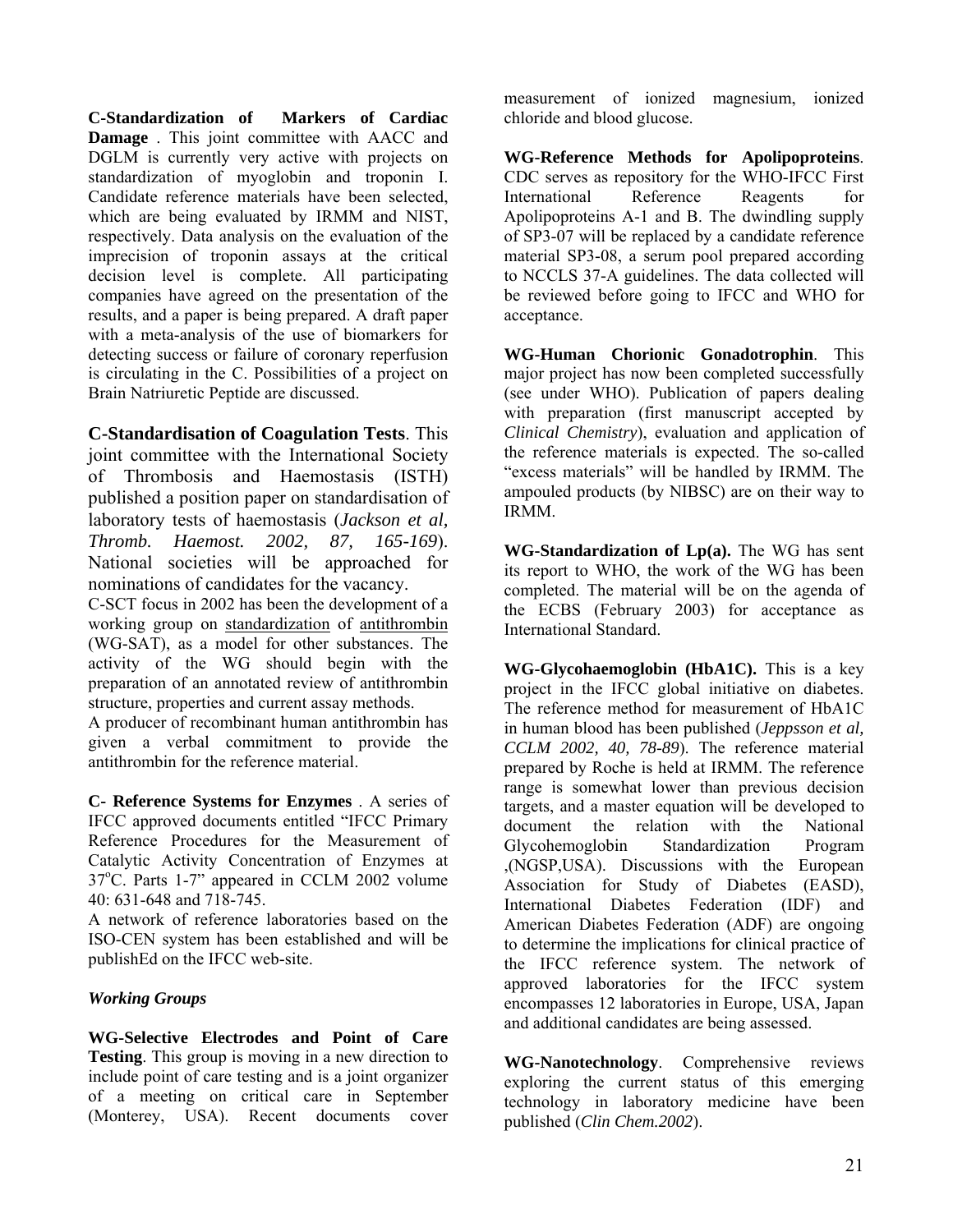**C-Standardization of Markers of Cardiac Damage** . This joint committee with AACC and DGLM is currently very active with projects on standardization of myoglobin and troponin I. Candidate reference materials have been selected, which are being evaluated by IRMM and NIST, respectively. Data analysis on the evaluation of the imprecision of troponin assays at the critical decision level is complete. All participating companies have agreed on the presentation of the results, and a paper is being prepared. A draft paper with a meta-analysis of the use of biomarkers for detecting success or failure of coronary reperfusion is circulating in the C. Possibilities of a project on Brain Natriuretic Peptide are discussed.

**C-Standardisation of Coagulation Tests**. This joint committee with the International Society of Thrombosis and Haemostasis (ISTH) published a position paper on standardisation of laboratory tests of haemostasis (*Jackson et al, Thromb. Haemost. 2002, 87, 165-169*). National societies will be approached for nominations of candidates for the vacancy.

C-SCT focus in 2002 has been the development of a working group on standardization of antithrombin (WG-SAT), as a model for other substances. The activity of the WG should begin with the preparation of an annotated review of antithrombin structure, properties and current assay methods.

A producer of recombinant human antithrombin has given a verbal commitment to provide the antithrombin for the reference material.

**C- Reference Systems for Enzymes** . A series of IFCC approved documents entitled "IFCC Primary Reference Procedures for the Measurement of Catalytic Activity Concentration of Enzymes at 37°C. Parts 1-7" appeared in CCLM 2002 volume 40: 631-648 and 718-745.

A network of reference laboratories based on the ISO-CEN system has been established and will be publishEd on the IFCC web-site.

## *Working Groups*

**WG-Selective Electrodes and Point of Care Testing**. This group is moving in a new direction to include point of care testing and is a joint organizer of a meeting on critical care in September (Monterey, USA). Recent documents cover

measurement of ionized magnesium, ionized chloride and blood glucose.

**WG-Reference Methods for Apolipoproteins**. CDC serves as repository for the WHO-IFCC First International Reference Reagents for Apolipoproteins A-1 and B. The dwindling supply of SP3-07 will be replaced by a candidate reference material SP3-08, a serum pool prepared according to NCCLS 37-A guidelines. The data collected will be reviewed before going to IFCC and WHO for acceptance.

**WG-Human Chorionic Gonadotrophin**. This major project has now been completed successfully (see under WHO). Publication of papers dealing with preparation (first manuscript accepted by *Clinical Chemistry*), evaluation and application of the reference materials is expected. The so-called "excess materials" will be handled by IRMM. The ampouled products (by NIBSC) are on their way to IRMM.

**WG-Standardization of Lp(a).** The WG has sent its report to WHO, the work of the WG has been completed. The material will be on the agenda of the ECBS (February 2003) for acceptance as International Standard.

**WG-Glycohaemoglobin (HbA1C).** This is a key project in the IFCC global initiative on diabetes. The reference method for measurement of HbA1C in human blood has been published (*Jeppsson et al, CCLM 2002, 40, 78*-*89*). The reference material prepared by Roche is held at IRMM. The reference range is somewhat lower than previous decision targets, and a master equation will be developed to document the relation with the National Glycohemoglobin Standardization Program ,(NGSP,USA). Discussions with the European Association for Study of Diabetes (EASD), International Diabetes Federation (IDF) and American Diabetes Federation (ADF) are ongoing to determine the implications for clinical practice of the IFCC reference system. The network of approved laboratories for the IFCC system encompasses 12 laboratories in Europe, USA, Japan and additional candidates are being assessed.

**WG-Nanotechnology**. Comprehensive reviews exploring the current status of this emerging technology in laboratory medicine have been published (*Clin Chem.2002*).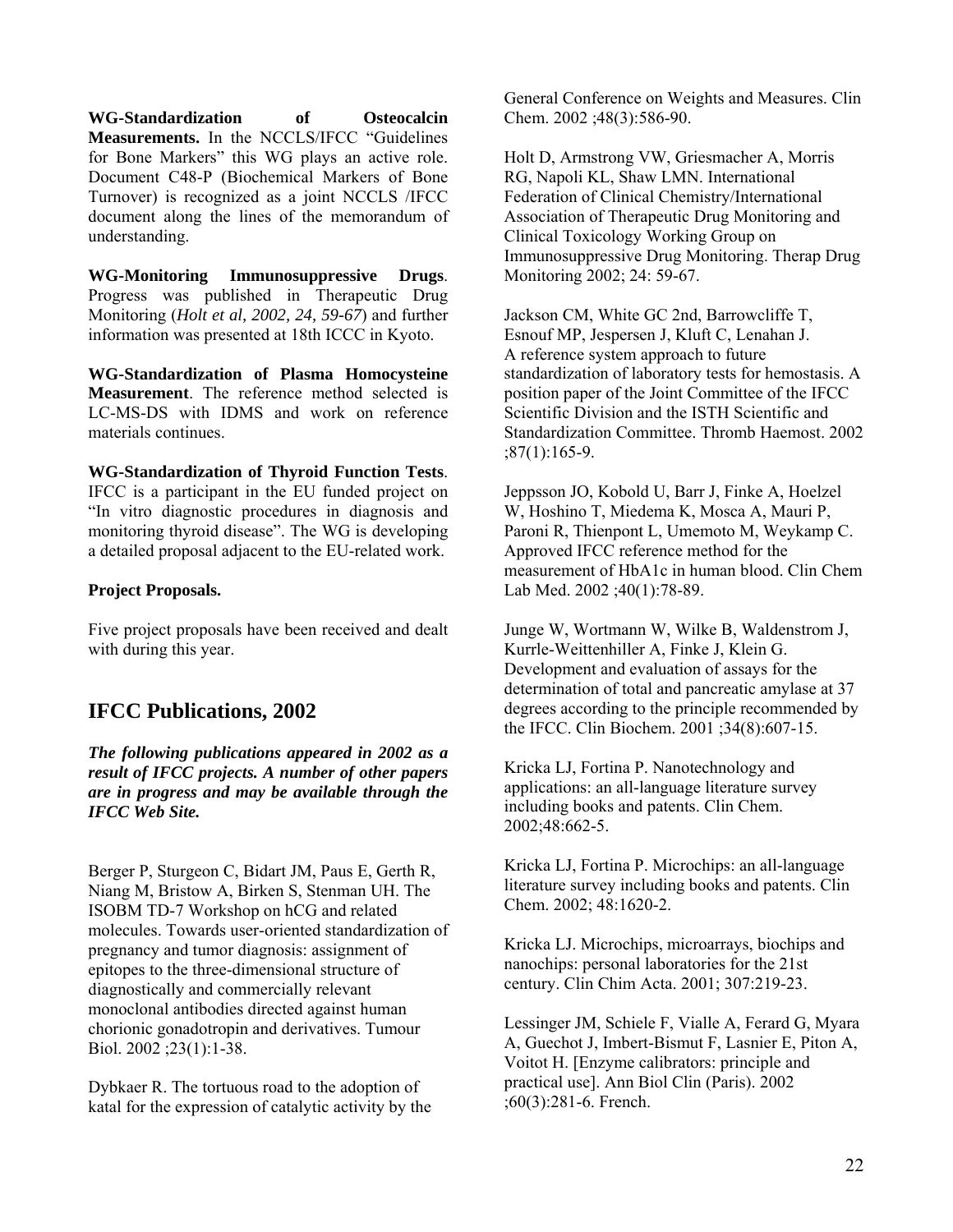**WG-Standardization of Osteocalcin Measurements.** In the NCCLS/IFCC "Guidelines for Bone Markers" this WG plays an active role. Document C48-P (Biochemical Markers of Bone Turnover) is recognized as a joint NCCLS /IFCC document along the lines of the memorandum of understanding.

**WG-Monitoring Immunosuppressive Drugs**. Progress was published in Therapeutic Drug Monitoring (*Holt et al, 2002, 24, 59-67*) and further information was presented at 18th ICCC in Kyoto.

**WG-Standardization of Plasma Homocysteine Measurement**. The reference method selected is LC-MS-DS with IDMS and work on reference materials continues.

**WG-Standardization of Thyroid Function Tests**. IFCC is a participant in the EU funded project on "In vitro diagnostic procedures in diagnosis and monitoring thyroid disease". The WG is developing a detailed proposal adjacent to the EU-related work.

## **Project Proposals.**

Five project proposals have been received and dealt with during this year.

# **IFCC Publications, 2002**

*The following publications appeared in 2002 as a result of IFCC projects. A number of other papers are in progress and may be available through the IFCC Web Site.* 

Berger P, Sturgeon C, Bidart JM, Paus E, Gerth R, Niang M, Bristow A, Birken S, Stenman UH. The ISOBM TD-7 Workshop on hCG and related molecules. Towards user-oriented standardization of pregnancy and tumor diagnosis: assignment of epitopes to the three-dimensional structure of diagnostically and commercially relevant monoclonal antibodies directed against human chorionic gonadotropin and derivatives. Tumour Biol. 2002 ;23(1):1-38.

Dybkaer R. The tortuous road to the adoption of katal for the expression of catalytic activity by the General Conference on Weights and Measures. Clin Chem. 2002 ;48(3):586-90.

Holt D, Armstrong VW, Griesmacher A, Morris RG, Napoli KL, Shaw LMN. International Federation of Clinical Chemistry/International Association of Therapeutic Drug Monitoring and Clinical Toxicology Working Group on Immunosuppressive Drug Monitoring. Therap Drug Monitoring 2002; 24: 59-67.

Jackson CM, White GC 2nd, Barrowcliffe T, Esnouf MP, Jespersen J, Kluft C, Lenahan J. A reference system approach to future standardization of laboratory tests for hemostasis. A position paper of the Joint Committee of the IFCC Scientific Division and the ISTH Scientific and Standardization Committee. Thromb Haemost. 2002 ;87(1):165-9.

Jeppsson JO, Kobold U, Barr J, Finke A, Hoelzel W, Hoshino T, Miedema K, Mosca A, Mauri P, Paroni R, Thienpont L, Umemoto M, Weykamp C. Approved IFCC reference method for the measurement of HbA1c in human blood. Clin Chem Lab Med. 2002 ;40(1):78-89.

Junge W, Wortmann W, Wilke B, Waldenstrom J, Kurrle-Weittenhiller A, Finke J, Klein G. Development and evaluation of assays for the determination of total and pancreatic amylase at 37 degrees according to the principle recommended by the IFCC. Clin Biochem. 2001 ;34(8):607-15.

Kricka LJ, Fortina P. Nanotechnology and applications: an all-language literature survey including books and patents. Clin Chem. 2002;48:662-5.

Kricka LJ, Fortina P. Microchips: an all-language literature survey including books and patents. Clin Chem. 2002; 48:1620-2.

Kricka LJ. Microchips, microarrays, biochips and nanochips: personal laboratories for the 21st century. Clin Chim Acta. 2001; 307:219-23.

Lessinger JM, Schiele F, Vialle A, Ferard G, Myara A, Guechot J, Imbert-Bismut F, Lasnier E, Piton A, Voitot H. [Enzyme calibrators: principle and practical use]. Ann Biol Clin (Paris). 2002 ;60(3):281-6. French.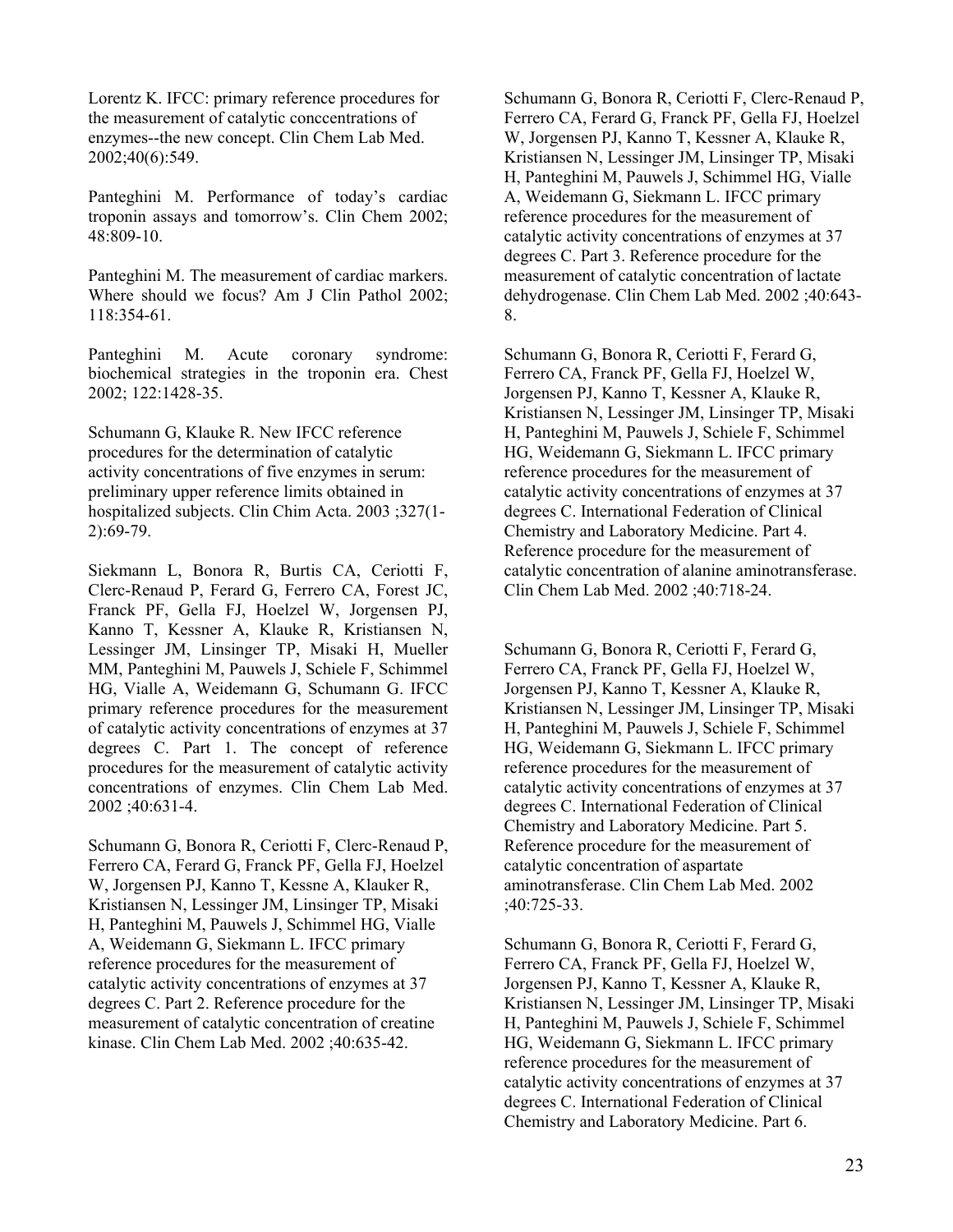Lorentz K. IFCC: primary reference procedures for the measurement of catalytic conccentrations of enzymes--the new concept. Clin Chem Lab Med. 2002;40(6):549.

Panteghini M. Performance of today's cardiac troponin assays and tomorrow's. Clin Chem 2002; 48:809-10.

Panteghini M. The measurement of cardiac markers. Where should we focus? Am J Clin Pathol 2002; 118:354-61.

Panteghini M. Acute coronary syndrome: biochemical strategies in the troponin era. Chest 2002; 122:1428-35.

Schumann G, Klauke R. New IFCC reference procedures for the determination of catalytic activity concentrations of five enzymes in serum: preliminary upper reference limits obtained in hospitalized subjects. Clin Chim Acta. 2003 ;327(1- 2):69-79.

Siekmann L, Bonora R, Burtis CA, Ceriotti F, Clerc-Renaud P, Ferard G, Ferrero CA, Forest JC, Franck PF, Gella FJ, Hoelzel W, Jorgensen PJ, Kanno T, Kessner A, Klauke R, Kristiansen N, Lessinger JM, Linsinger TP, Misaki H, Mueller MM, Panteghini M, Pauwels J, Schiele F, Schimmel HG, Vialle A, Weidemann G, Schumann G. IFCC primary reference procedures for the measurement of catalytic activity concentrations of enzymes at 37 degrees C. Part 1. The concept of reference procedures for the measurement of catalytic activity concentrations of enzymes. Clin Chem Lab Med. 2002 ;40:631-4.

Schumann G, Bonora R, Ceriotti F, Clerc-Renaud P, Ferrero CA, Ferard G, Franck PF, Gella FJ, Hoelzel W, Jorgensen PJ, Kanno T, Kessne A, Klauker R, Kristiansen N, Lessinger JM, Linsinger TP, Misaki H, Panteghini M, Pauwels J, Schimmel HG, Vialle A, Weidemann G, Siekmann L. IFCC primary reference procedures for the measurement of catalytic activity concentrations of enzymes at 37 degrees C. Part 2. Reference procedure for the measurement of catalytic concentration of creatine kinase. Clin Chem Lab Med. 2002 ;40:635-42.

Schumann G, Bonora R, Ceriotti F, Clerc-Renaud P, Ferrero CA, Ferard G, Franck PF, Gella FJ, Hoelzel W, Jorgensen PJ, Kanno T, Kessner A, Klauke R, Kristiansen N, Lessinger JM, Linsinger TP, Misaki H, Panteghini M, Pauwels J, Schimmel HG, Vialle A, Weidemann G, Siekmann L. IFCC primary reference procedures for the measurement of catalytic activity concentrations of enzymes at 37 degrees C. Part 3. Reference procedure for the measurement of catalytic concentration of lactate dehydrogenase. Clin Chem Lab Med. 2002 ;40:643- 8.

Schumann G, Bonora R, Ceriotti F, Ferard G, Ferrero CA, Franck PF, Gella FJ, Hoelzel W, Jorgensen PJ, Kanno T, Kessner A, Klauke R, Kristiansen N, Lessinger JM, Linsinger TP, Misaki H, Panteghini M, Pauwels J, Schiele F, Schimmel HG, Weidemann G, Siekmann L. IFCC primary reference procedures for the measurement of catalytic activity concentrations of enzymes at 37 degrees C. International Federation of Clinical Chemistry and Laboratory Medicine. Part 4. Reference procedure for the measurement of catalytic concentration of alanine aminotransferase. Clin Chem Lab Med. 2002 ;40:718-24.

Schumann G, Bonora R, Ceriotti F, Ferard G, Ferrero CA, Franck PF, Gella FJ, Hoelzel W, Jorgensen PJ, Kanno T, Kessner A, Klauke R, Kristiansen N, Lessinger JM, Linsinger TP, Misaki H, Panteghini M, Pauwels J, Schiele F, Schimmel HG, Weidemann G, Siekmann L. IFCC primary reference procedures for the measurement of catalytic activity concentrations of enzymes at 37 degrees C. International Federation of Clinical Chemistry and Laboratory Medicine. Part 5. Reference procedure for the measurement of catalytic concentration of aspartate aminotransferase. Clin Chem Lab Med. 2002 ;40:725-33.

Schumann G, Bonora R, Ceriotti F, Ferard G, Ferrero CA, Franck PF, Gella FJ, Hoelzel W, Jorgensen PJ, Kanno T, Kessner A, Klauke R, Kristiansen N, Lessinger JM, Linsinger TP, Misaki H, Panteghini M, Pauwels J, Schiele F, Schimmel HG, Weidemann G, Siekmann L. IFCC primary reference procedures for the measurement of catalytic activity concentrations of enzymes at 37 degrees C. International Federation of Clinical Chemistry and Laboratory Medicine. Part 6.